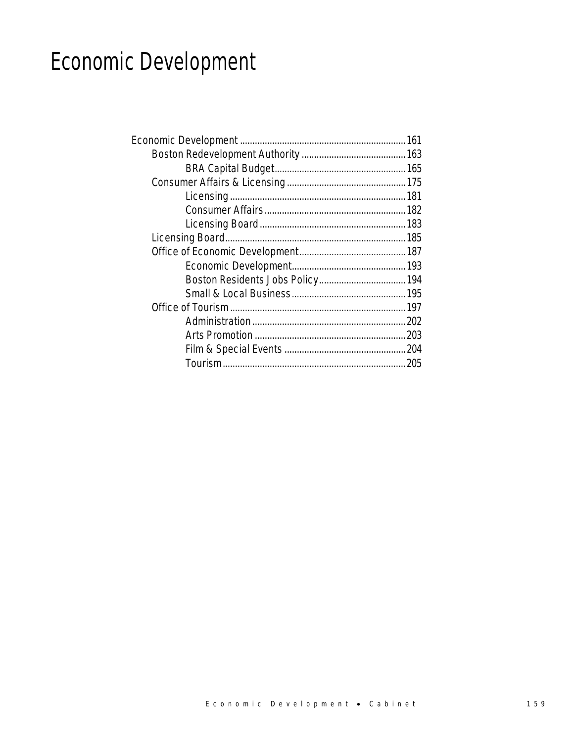# Economic Development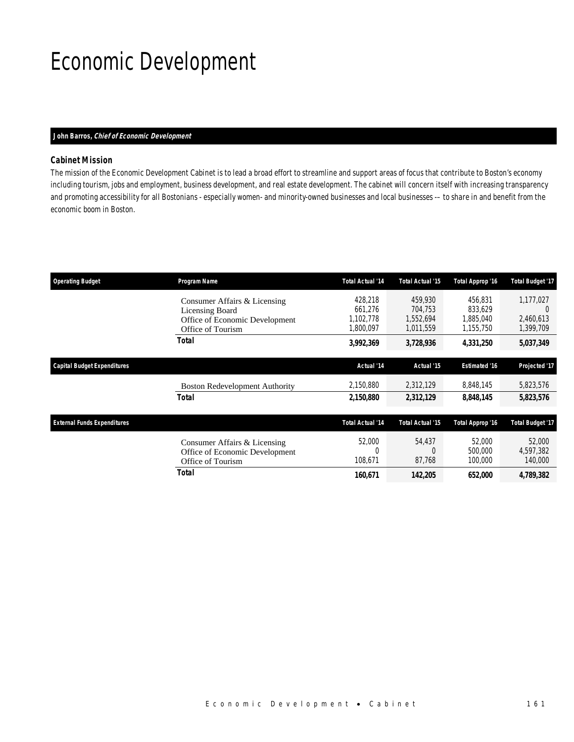## Economic Development

#### *John Barros, Chief of Economic Development*

#### *Cabinet Mission*

The mission of the Economic Development Cabinet is to lead a broad effort to streamline and support areas of focus that contribute to Boston's economy including tourism, jobs and employment, business development, and real estate development. The cabinet will concern itself with increasing transparency and promoting accessibility for all Bostonians - especially women- and minority-owned businesses and local businesses -– to share in and benefit from the economic boom in Boston.

| <b>Operating Budget</b>            | Program Name                                                                                           | <b>Total Actual '14</b>                      | <b>Total Actual '15</b>                      | Total Approp '16                             | <b>Total Budget '17</b>                                 |
|------------------------------------|--------------------------------------------------------------------------------------------------------|----------------------------------------------|----------------------------------------------|----------------------------------------------|---------------------------------------------------------|
|                                    | Consumer Affairs & Licensing<br>Licensing Board<br>Office of Economic Development<br>Office of Tourism | 428,218<br>661.276<br>1,102,778<br>1,800,097 | 459,930<br>704.753<br>1,552,694<br>1,011,559 | 456.831<br>833.629<br>1,885,040<br>1,155,750 | 1,177,027<br>$\left( \right)$<br>2,460,613<br>1,399,709 |
|                                    | <b>Total</b>                                                                                           | 3,992,369                                    | 3,728,936                                    | 4,331,250                                    | 5,037,349                                               |
| <b>Capital Budget Expenditures</b> |                                                                                                        | Actual '14                                   | Actual '15                                   | <b>Estimated '16</b>                         | Projected '17                                           |
|                                    | <b>Boston Redevelopment Authority</b>                                                                  | 2,150,880                                    | 2,312,129                                    | 8,848,145                                    | 5,823,576                                               |
|                                    | <b>Total</b>                                                                                           | 2,150,880                                    | 2,312,129                                    | 8,848,145                                    | 5,823,576                                               |
| <b>External Funds Expenditures</b> |                                                                                                        | <b>Total Actual '14</b>                      | <b>Total Actual '15</b>                      | Total Approp '16                             | <b>Total Budget '17</b>                                 |
|                                    | Consumer Affairs & Licensing<br>Office of Economic Development<br>Office of Tourism                    | 52,000<br>0<br>108,671                       | 54,437<br>$\Omega$<br>87,768                 | 52,000<br>500,000<br>100,000                 | 52,000<br>4,597,382<br>140,000                          |
|                                    | <b>Total</b>                                                                                           | 160,671                                      | 142,205                                      | <i><b>652,000</b></i>                        | 4,789,382                                               |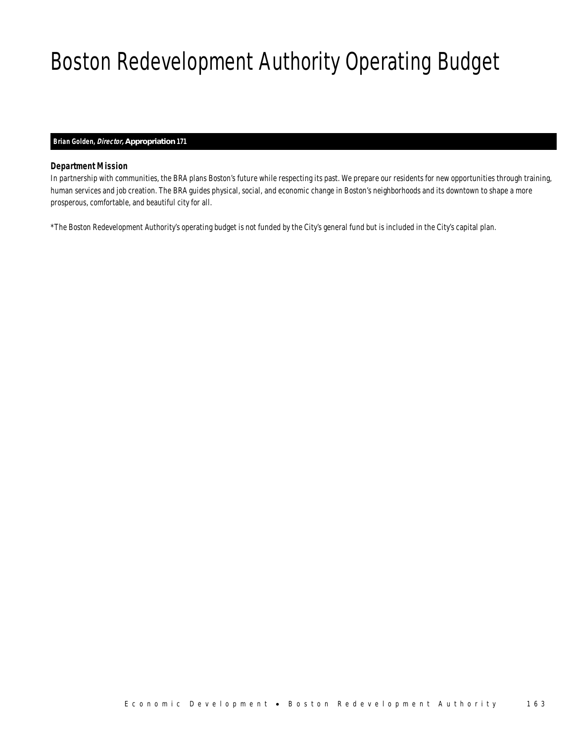# Boston Redevelopment Authority Operating Budget

#### *Brian Golden, Director, Appropriation 171*

#### *Department Mission*

In partnership with communities, the BRA plans Boston's future while respecting its past. We prepare our residents for new opportunities through training, human services and job creation. The BRA guides physical, social, and economic change in Boston's neighborhoods and its downtown to shape a more prosperous, comfortable, and beautiful city for all.

\*The Boston Redevelopment Authority's operating budget is not funded by the City's general fund but is included in the City's capital plan.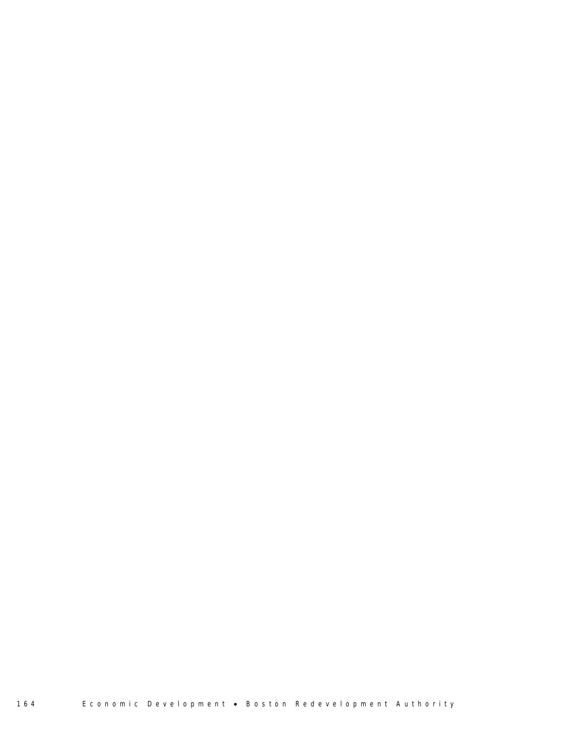164 E conomic Development • Boston Redevelopment Authority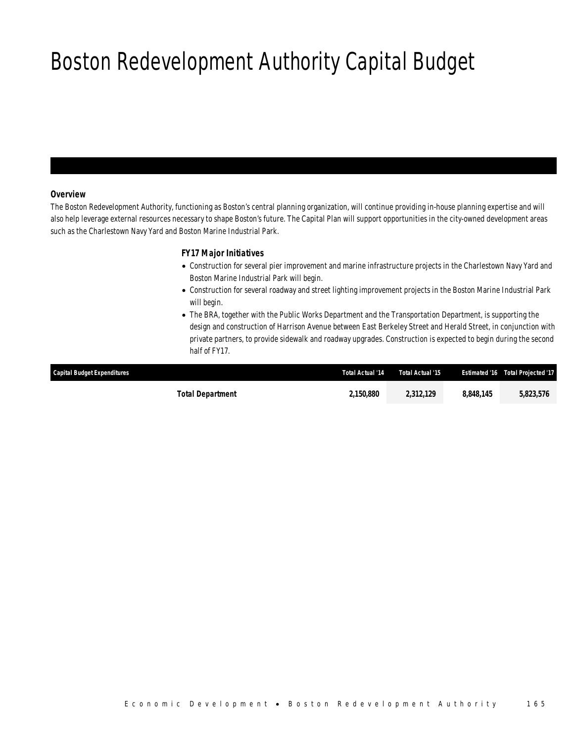# Boston Redevelopment Authority Capital Budget

### *Overview*

The Boston Redevelopment Authority, functioning as Boston's central planning organization, will continue providing in-house planning expertise and will also help leverage external resources necessary to shape Boston's future. The Capital Plan will support opportunities in the city-owned development areas such as the Charlestown Navy Yard and Boston Marine Industrial Park.

#### *FY17 Major Initiatives*

- Construction for several pier improvement and marine infrastructure projects in the Charlestown Navy Yard and Boston Marine Industrial Park will begin.
- Construction for several roadway and street lighting improvement projects in the Boston Marine Industrial Park will begin.
- The BRA, together with the Public Works Department and the Transportation Department, is supporting the design and construction of Harrison Avenue between East Berkeley Street and Herald Street, in conjunction with private partners, to provide sidewalk and roadway upgrades. Construction is expected to begin during the second half of FY17.

| <b>Capital Budget Expenditures</b> | Total Actual '14 | Total Actual '15 |           | <b>Estimated '16 Total Projected '17</b> |
|------------------------------------|------------------|------------------|-----------|------------------------------------------|
| Total Department                   | 2.150.880        | 2.312.129        | 8.848.145 | 5,823,576                                |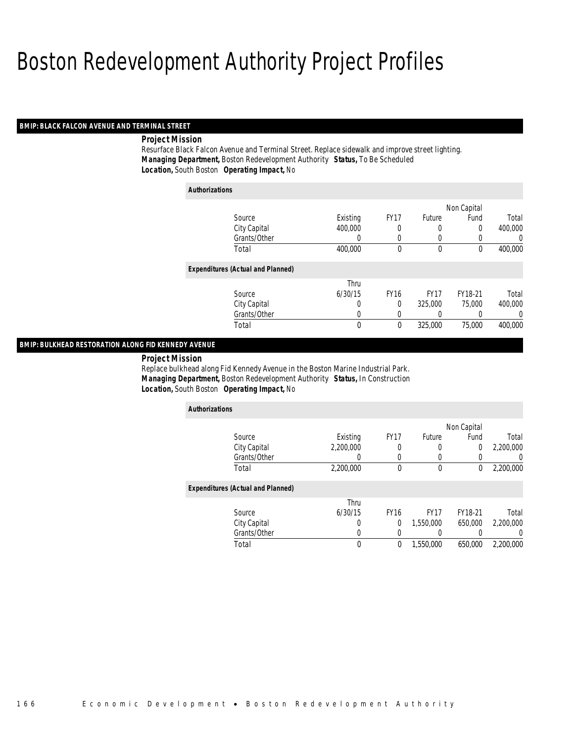#### *BMIP: BLACK FALCON AVENUE AND TERMINAL STREET*

#### *Project Mission*

Resurface Black Falcon Avenue and Terminal Street. Replace sidewalk and improve street lighting. *Managing Department,* Boston Redevelopment Authority *Status,* To Be Scheduled*Location,* South Boston *Operating Impact,* No

| <b>Authorizations</b>                    |          |             |             |             |         |
|------------------------------------------|----------|-------------|-------------|-------------|---------|
|                                          |          |             |             | Non Capital |         |
| Source                                   | Existing | <b>FY17</b> | Future      | Fund        | Total   |
| City Capital                             | 400,000  | 0           | 0           | 0           | 400,000 |
| Grants/Other                             | 0        | 0           | 0           | 0           | U       |
| Total                                    | 400,000  | 0           | $\mathbf 0$ | 0           | 400,000 |
| <b>Expenditures (Actual and Planned)</b> |          |             |             |             |         |
|                                          | Thru     |             |             |             |         |
| Source                                   | 6/30/15  | <b>FY16</b> | <b>FY17</b> | FY18-21     | Total   |
| City Capital                             | 0        | 0           | 325,000     | 75,000      | 400,000 |
| Grants/Other                             | 0        | 0           | 0           | 0           | 0       |
| Total                                    | 0        | 0           | 325,000     | 75,000      | 400,000 |

#### *BMIP: BULKHEAD RESTORATION ALONG FID KENNEDY AVENUE*

*Project Mission* 

Replace bulkhead along Fid Kennedy Avenue in the Boston Marine Industrial Park. *Managing Department,* Boston Redevelopment Authority *Status,* In Construction*Location,* South Boston *Operating Impact,* No

| <b>Authorizations</b>                    |           |             |             |             |           |  |  |  |
|------------------------------------------|-----------|-------------|-------------|-------------|-----------|--|--|--|
|                                          |           |             |             | Non Capital |           |  |  |  |
| Source                                   | Existing  | <b>FY17</b> | Future      | Fund        | Total     |  |  |  |
| City Capital                             | 2,200,000 |             | 0           | 0           | 2,200,000 |  |  |  |
| Grants/Other                             | 0         | $\Omega$    |             | 0           | 0         |  |  |  |
| Total                                    | 2,200,000 | $\theta$    | $\mathbf 0$ | 0           | 2,200,000 |  |  |  |
| <b>Expenditures (Actual and Planned)</b> |           |             |             |             |           |  |  |  |
|                                          | Thru      |             |             |             |           |  |  |  |
| Source                                   | 6/30/15   | <b>FY16</b> | <b>FY17</b> | FY18-21     | Total     |  |  |  |
| City Capital                             | 0         | 0           | 1.550.000   | 650,000     | 2,200,000 |  |  |  |
| Grants/Other                             | 0         |             |             | O           | 0         |  |  |  |
| Total                                    | 0         | $\theta$    | 1,550,000   | 650,000     | 2,200,000 |  |  |  |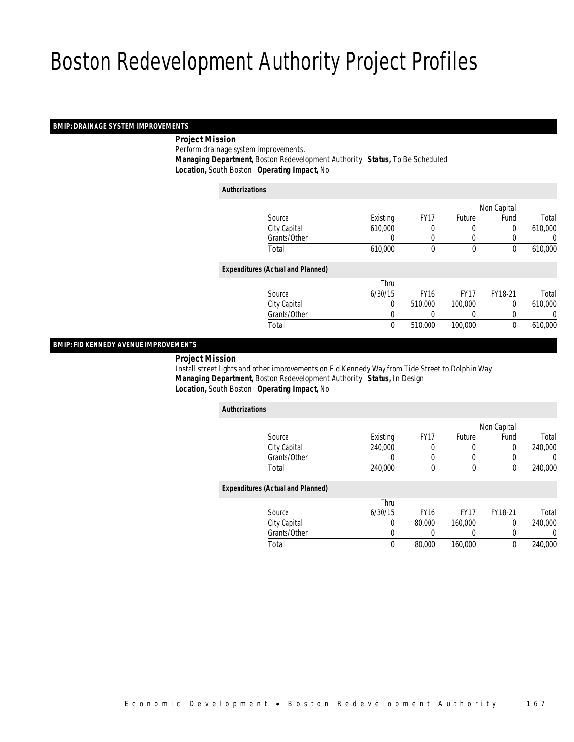#### *BMIP: DRAINAGE SYSTEM IMPROVEMENTS*

#### *Project Mission*

Perform drainage system improvements.

*Managing Department,* Boston Redevelopment Authority *Status,* To Be Scheduled

*Location,* South Boston *Operating Impact,* No

| <b>Authorizations</b>                    |          |             |               |             |         |
|------------------------------------------|----------|-------------|---------------|-------------|---------|
|                                          |          |             |               | Non Capital |         |
| Source                                   | Existing | <b>FY17</b> | <b>Future</b> | Fund        | Total   |
| City Capital                             | 610,000  |             | 0             | 0           | 610,000 |
| Grants/Other                             | $\Omega$ | 0           | 0             | $\Omega$    | 0       |
| Total                                    | 610,000  | 0           | $\mathbf 0$   | 0           | 610,000 |
| <b>Expenditures (Actual and Planned)</b> |          |             |               |             |         |
|                                          | Thru     |             |               |             |         |
| Source                                   | 6/30/15  | <b>FY16</b> | <b>FY17</b>   | FY18-21     | Total   |
| City Capital                             | 0        | 510,000     | 100,000       | $\Omega$    | 610,000 |
| Grants/Other                             | 0        |             |               | 0           | 0       |
| Total                                    | 0        | 510,000     | 100,000       | 0           | 610,000 |
|                                          |          |             |               |             |         |

#### *BMIP: FID KENNEDY AVENUE IMPROVEMENTS*

#### *Project Mission*

 Install street lights and other improvements on Fid Kennedy Way from Tide Street to Dolphin Way. *Managing Department,* Boston Redevelopment Authority *Status,* In Design*Location,* South Boston *Operating Impact,* No

| <b>Authorizations</b>                    |          |                  |              |             |         |
|------------------------------------------|----------|------------------|--------------|-------------|---------|
|                                          |          |                  |              | Non Capital |         |
| Source                                   | Existing | FY <sub>17</sub> | Future       | Fund        | Total   |
| City Capital                             | 240,000  | 0                | 0            | $\Omega$    | 240,000 |
| Grants/Other                             | 0        | $\left($         | 0            | $\left($    | 0       |
| Total                                    | 240,000  | 0                | $\mathbf{0}$ | 0           | 240,000 |
| <b>Expenditures (Actual and Planned)</b> |          |                  |              |             |         |
|                                          | Thru     |                  |              |             |         |
| Source                                   | 6/30/15  | <b>FY16</b>      | <b>FY17</b>  | FY18-21     | Total   |
| City Capital                             | 0        | 80.000           | 160,000      | $\Omega$    | 240,000 |
| Grants/Other                             | 0        | 0                | 0            | $\Omega$    | 0       |
| Total                                    | 0        | 80,000           | 160,000      | $\theta$    | 240,000 |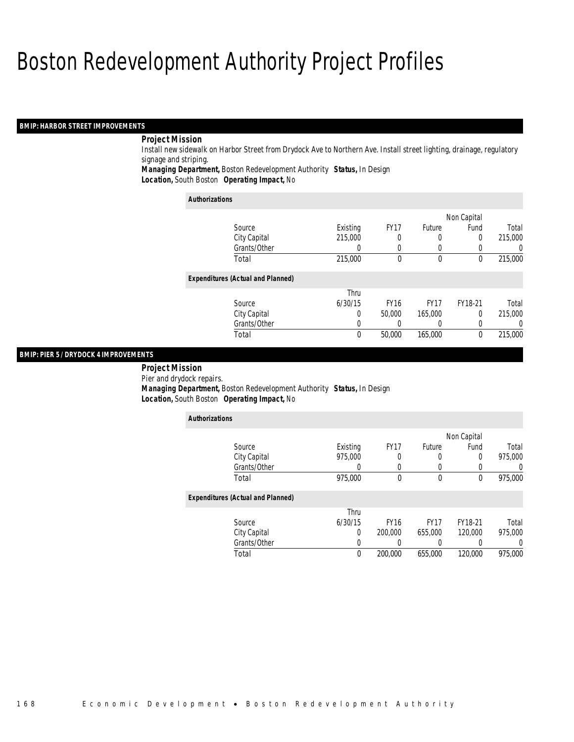#### *BMIP: HARBOR STREET IMPROVEMENTS*

### *Project Mission*

Install new sidewalk on Harbor Street from Drydock Ave to Northern Ave. Install street lighting, drainage, regulatory signage and striping.

*Managing Department,* Boston Redevelopment Authority *Status,* In Design

*Location,* South Boston *Operating Impact,* No

| <b>Authorizations</b>                    |                  |             |             |             |         |  |
|------------------------------------------|------------------|-------------|-------------|-------------|---------|--|
|                                          |                  |             |             | Non Capital |         |  |
| Source                                   | Existing         | <b>FY17</b> | Future      | Fund        | Total   |  |
| City Capital                             | 215,000          | 0           | 0           | $\Omega$    | 215,000 |  |
| Grants/Other                             |                  | 0           | 0           | $\Omega$    |         |  |
| Total                                    | 215,000          | $\Omega$    | $\mathbf 0$ | 0           | 215,000 |  |
| <b>Expenditures (Actual and Planned)</b> |                  |             |             |             |         |  |
|                                          | Thru             |             |             |             |         |  |
| Source                                   | 6/30/15          | <b>FY16</b> | <b>FY17</b> | FY18-21     | Total   |  |
| City Capital                             | 0                | 50,000      | 165,000     | $\Omega$    | 215,000 |  |
| Grants/Other                             | $\left( \right)$ | 0           | 0           | $\Omega$    |         |  |
| Total                                    | $\theta$         | 50,000      | 165,000     | $\theta$    | 215,000 |  |

#### *BMIP: PIER 5 / DRYDOCK 4 IMPROVEMENTS*

 *Project Mission* Pier and drydock repairs. *Managing Department,* Boston Redevelopment Authority *Status,* In Design*Location,* South Boston *Operating Impact,* No

| <b>Authorizations</b>                    |                  |             |              |                |         |
|------------------------------------------|------------------|-------------|--------------|----------------|---------|
|                                          |                  |             |              | Non Capital    |         |
| Source                                   | Existing         | <b>FY17</b> | Future       | Fund           | Total   |
| City Capital                             | 975,000          | 0           | 0            | $\overline{0}$ | 975,000 |
| Grants/Other                             |                  | 0           | 0            | 0              |         |
| Total                                    | 975,000          | $\theta$    | $\mathbf{0}$ | $\theta$       | 975,000 |
| <b>Expenditures (Actual and Planned)</b> |                  |             |              |                |         |
|                                          | Thru             |             |              |                |         |
| Source                                   | 6/30/15          | <b>FY16</b> | <b>FY17</b>  | FY18-21        | Total   |
| City Capital                             | 0                | 200,000     | 655,000      | 120,000        | 975,000 |
| Grants/Other                             | $\left( \right)$ | $\left($    | 0            | 0              |         |
| Total                                    | $\theta$         | 200,000     | 655,000      | 120,000        | 975,000 |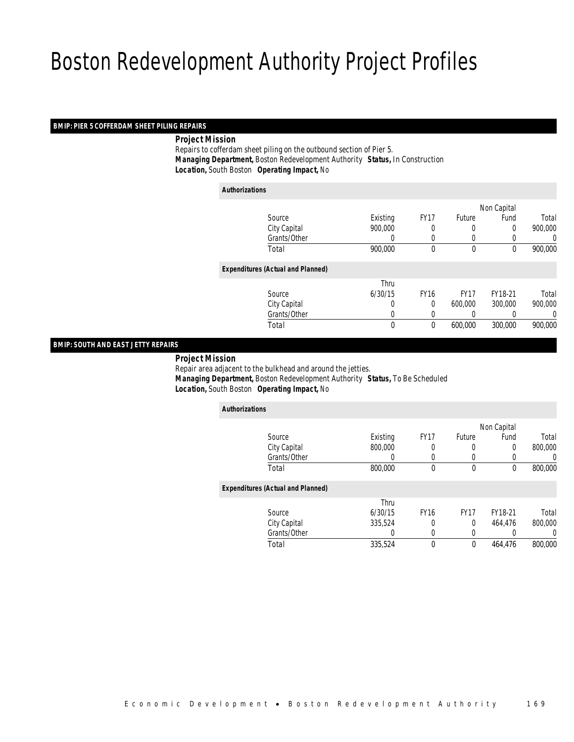#### *BMIP: PIER 5 COFFERDAM SHEET PILING REPAIRS*

*Project Mission*

 Repairs to cofferdam sheet piling on the outbound section of Pier 5.*Managing Department,* Boston Redevelopment Authority *Status,* In Construction

*Location,* South Boston *Operating Impact,* No

*Authorizations*

| <b>Authorizations</b>                    |              |              |              |             |             |         |
|------------------------------------------|--------------|--------------|--------------|-------------|-------------|---------|
|                                          |              |              |              |             | Non Capital |         |
| Source                                   |              | Existing     | <b>FY17</b>  | Future      | Fund        | Total   |
| City Capital                             |              | 900,000      | 0            | $\left($    | 0           | 900,000 |
|                                          | Grants/Other | 0            |              | 0           |             | 0       |
| Total                                    |              | 900,000      | $\theta$     | $\theta$    | $\theta$    | 900,000 |
| <b>Expenditures (Actual and Planned)</b> |              |              |              |             |             |         |
|                                          |              | Thru         |              |             |             |         |
| Source                                   |              | 6/30/15      | <b>FY16</b>  | <b>FY17</b> | FY18-21     | Total   |
| City Capital                             |              | 0            | $\Omega$     | 600,000     | 300,000     | 900,000 |
|                                          | Grants/Other | 0            |              |             |             | 0       |
| Total                                    |              | $\mathbf{0}$ | $\mathbf{0}$ | 600,000     | 300,000     | 900,000 |
|                                          |              |              |              |             |             |         |

#### *BMIP: SOUTH AND EAST JETTY REPAIRS*

#### *Project Mission*

 Repair area adjacent to the bulkhead and around the jetties. *Managing Department,* Boston Redevelopment Authority *Status,* To Be Scheduled*Location,* South Boston *Operating Impact,* No

| <b>Authorizations</b>                    |          |             |             |             |          |
|------------------------------------------|----------|-------------|-------------|-------------|----------|
|                                          |          |             |             | Non Capital |          |
| Source                                   | Existing | <b>FY17</b> | Future      | Fund        | Total    |
| City Capital                             | 800,000  | 0           | 0           | 0           | 800,000  |
| Grants/Other                             | 0        | 0           | $\left($    |             | 0        |
| Total                                    | 800,000  | 0           | $\mathbf 0$ | 0           | 800,000  |
| <b>Expenditures (Actual and Planned)</b> |          |             |             |             |          |
|                                          | Thru     |             |             |             |          |
| Source                                   | 6/30/15  | <b>FY16</b> | <b>FY17</b> | FY18-21     | Total    |
| City Capital                             | 335.524  | $\Omega$    | $\Omega$    | 464.476     | 800,000  |
| Grants/Other                             | 0        | 0           | 0           | 0           | $\Omega$ |
| Total                                    | 335,524  | $\theta$    | $\mathbf 0$ | 464,476     | 800,000  |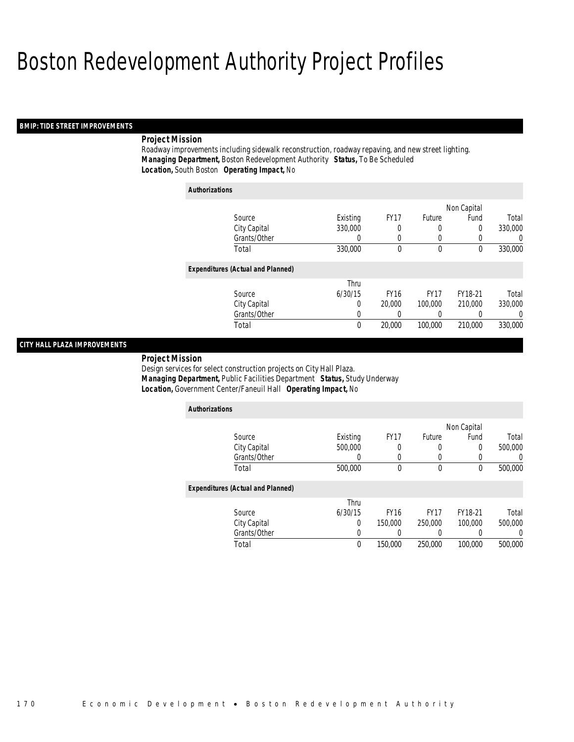#### *BMIP: TIDE STREET IMPROVEMENTS*

#### *Project Mission*

Roadway improvements including sidewalk reconstruction, roadway repaving, and new street lighting. *Managing Department,* Boston Redevelopment Authority *Status,* To Be Scheduled*Location,* South Boston *Operating Impact,* No

| <b>Authorizations</b> |                                          |          |             |             |             |          |
|-----------------------|------------------------------------------|----------|-------------|-------------|-------------|----------|
|                       |                                          |          |             |             | Non Capital |          |
|                       | Source                                   | Existing | <b>FY17</b> | Future      | Fund        | Total    |
|                       | City Capital                             | 330,000  | 0           | 0           | $\Omega$    | 330,000  |
|                       | Grants/Other                             | 0        | 0           | 0           | 0           | 0        |
|                       | Total                                    | 330,000  | 0           | 0           | 0           | 330,000  |
|                       | <b>Expenditures (Actual and Planned)</b> |          |             |             |             |          |
|                       |                                          | Thru     |             |             |             |          |
|                       | Source                                   | 6/30/15  | <b>FY16</b> | <b>FY17</b> | FY18-21     | Total    |
|                       | City Capital                             | 0        | 20,000      | 100,000     | 210,000     | 330,000  |
|                       | Grants/Other                             | 0        | 0           | 0           | 0           | $\left($ |
|                       | Total                                    | 0        | 20,000      | 100,000     | 210,000     | 330,000  |

#### *CITY HALL PLAZA IMPROVEMENTS*

*Project Mission* 

Design services for select construction projects on City Hall Plaza. *Managing Department,* Public Facilities Department *Status,* Study Underway*Location,* Government Center/Faneuil Hall *Operating Impact,* No

| <b>Authorizations</b>                    |          |             |             |             |         |  |  |  |
|------------------------------------------|----------|-------------|-------------|-------------|---------|--|--|--|
|                                          |          |             |             | Non Capital |         |  |  |  |
| Source                                   | Existing | <b>FY17</b> | Future      | Fund        | Total   |  |  |  |
| City Capital                             | 500,000  | 0           | 0           | 0           | 500,000 |  |  |  |
| Grants/Other                             | 0        | $\Omega$    |             | 0           | 0       |  |  |  |
| Total                                    | 500,000  | $\theta$    | 0           | 0           | 500,000 |  |  |  |
| <b>Expenditures (Actual and Planned)</b> |          |             |             |             |         |  |  |  |
|                                          | Thru     |             |             |             |         |  |  |  |
| Source                                   | 6/30/15  | <b>FY16</b> | <b>FY17</b> | FY18-21     | Total   |  |  |  |
| City Capital                             | 0        | 150,000     | 250,000     | 100,000     | 500,000 |  |  |  |
| Grants/Other                             | 0        |             | $\left($    | 0           | 0       |  |  |  |
| Total                                    | $\theta$ | 150,000     | 250,000     | 100,000     | 500,000 |  |  |  |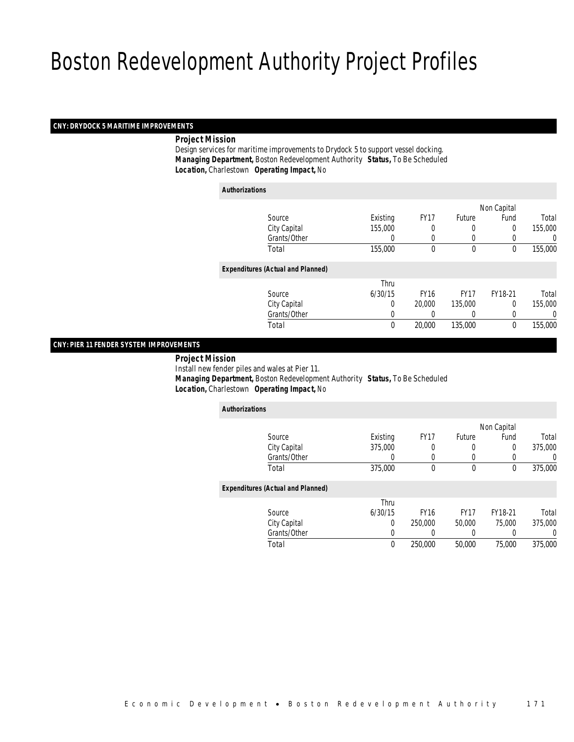#### *CNY: DRYDOCK 5 MARITIME IMPROVEMENTS*

*Project Mission*

 Design services for maritime improvements to Drydock 5 to support vessel docking. *Managing Department,* Boston Redevelopment Authority *Status,* To Be Scheduled*Location,* Charlestown *Operating Impact,* No

| <b>Authorizations</b>                    |          |             |             |             |         |
|------------------------------------------|----------|-------------|-------------|-------------|---------|
|                                          |          |             |             | Non Capital |         |
| Source                                   | Existing | <b>FY17</b> | Future      | Fund        | Total   |
| City Capital                             | 155,000  | 0           | 0           | 0           | 155,000 |
| Grants/Other                             | $\left($ | 0           | $\Omega$    | 0           | 0       |
| Total                                    | 155,000  | $\mathbf 0$ | 0           | 0           | 155,000 |
| <b>Expenditures (Actual and Planned)</b> |          |             |             |             |         |
|                                          | Thru     |             |             |             |         |
| Source                                   | 6/30/15  | <b>FY16</b> | <b>FY17</b> | FY18-21     | Total   |
| City Capital                             | $\Omega$ | 20,000      | 135,000     | 0           | 155,000 |
| Grants/Other                             | 0        | 0           | 0           | 0           | 0       |
| Total                                    | 0        | 20,000      | 135,000     | 0           | 155,000 |

*CNY: PIER 11 FENDER SYSTEM IMPROVEMENTS* 

*Project Mission*

Install new fender piles and wales at Pier 11.

*Managing Department,* Boston Redevelopment Authority *Status,* To Be Scheduled

*Location,* Charlestown *Operating Impact,* No

| <b>Authorizations</b> |                                          |          |             |             |             |         |
|-----------------------|------------------------------------------|----------|-------------|-------------|-------------|---------|
|                       |                                          |          |             |             | Non Capital |         |
|                       | Source                                   | Existing | <b>FY17</b> | Future      | Fund        | Total   |
|                       | City Capital                             | 375,000  | 0           | 0           | 0           | 375,000 |
|                       | Grants/Other                             | $\Omega$ | 0           | 0           | 0           | 0       |
|                       | Total                                    | 375,000  | $\mathbf 0$ | 0           | 0           | 375,000 |
|                       | <b>Expenditures (Actual and Planned)</b> |          |             |             |             |         |
|                       |                                          | Thru     |             |             |             |         |
|                       | Source                                   | 6/30/15  | <b>FY16</b> | <b>FY17</b> | FY18-21     | Total   |
|                       | City Capital                             | 0        | 250,000     | 50,000      | 75,000      | 375,000 |
|                       | Grants/Other                             | 0        | 0           | 0           | 0           | 0       |
|                       | Total                                    | $\theta$ | 250,000     | 50,000      | 75,000      | 375,000 |
|                       |                                          |          |             |             |             |         |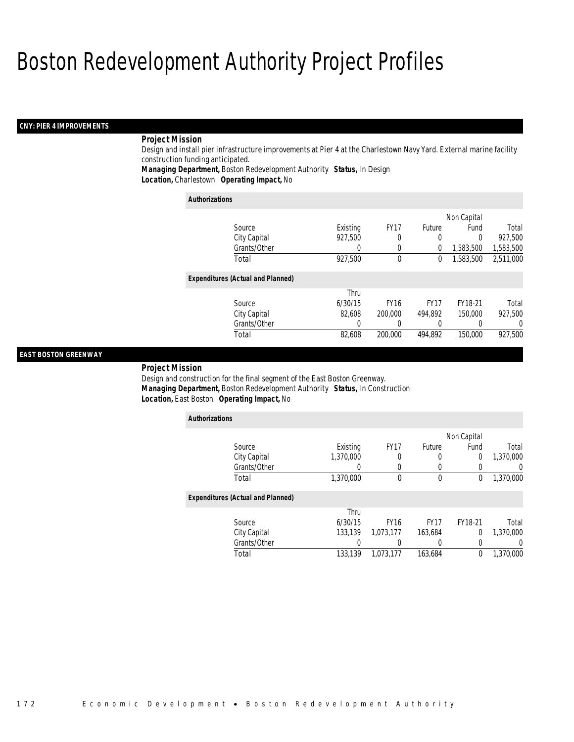#### *CNY: PIER 4 IMPROVEMENTS*

#### *Project Mission*

Design and install pier infrastructure improvements at Pier 4 at the Charlestown Navy Yard. External marine facility construction funding anticipated.

*Managing Department,* Boston Redevelopment Authority *Status,* In Design*Location,* Charlestown *Operating Impact,* No

| <b>Authorizations</b>                    |          |             |             |             |           |
|------------------------------------------|----------|-------------|-------------|-------------|-----------|
|                                          |          |             |             | Non Capital |           |
| Source                                   | Existing | <b>FY17</b> | Future      | Fund        | Total     |
| City Capital                             | 927,500  | 0           | 0           | 0           | 927,500   |
| Grants/Other                             | 0        | 0           | 0           | 1,583,500   | 1,583,500 |
| Total                                    | 927,500  | 0           | 0           | 1,583,500   | 2,511,000 |
| <b>Expenditures (Actual and Planned)</b> |          |             |             |             |           |
|                                          | Thru     |             |             |             |           |
| Source                                   | 6/30/15  | <b>FY16</b> | <b>FY17</b> | FY18-21     | Total     |
| City Capital                             | 82.608   | 200,000     | 494.892     | 150,000     | 927,500   |
| Grants/Other                             | 0        | 0           |             | 0           | 0         |
| Total                                    | 82.608   | 200,000     | 494.892     | 150,000     | 927.500   |

#### *EAST BOSTON GREENWAY*

#### *Project Mission*

Design and construction for the final segment of the East Boston Greenway. *Managing Department,* Boston Redevelopment Authority *Status,* In Construction*Location,* East Boston *Operating Impact,* No

| <b>Authorizations</b>                    |           |             |             |             |                  |
|------------------------------------------|-----------|-------------|-------------|-------------|------------------|
|                                          |           |             |             | Non Capital |                  |
| Source                                   | Existing  | <b>FY17</b> | Future      | Fund        | Total            |
| City Capital                             | 1,370,000 |             | 0           | 0           | 1,370,000        |
| Grants/Other                             | 0         | $\Omega$    | 0           | 0           | $\left( \right)$ |
| Total                                    | 1,370,000 | $\theta$    | 0           | 0           | 1,370,000        |
| <b>Expenditures (Actual and Planned)</b> |           |             |             |             |                  |
|                                          | Thru      |             |             |             |                  |
| Source                                   | 6/30/15   | <b>FY16</b> | <b>FY17</b> | FY18-21     | Total            |
| City Capital                             | 133,139   | 1,073,177   | 163,684     | 0           | 1,370,000        |
| Grants/Other                             | 0         |             |             | 0           | $\left( \right)$ |
| Total                                    | 133,139   | 1,073,177   | 163,684     | 0           | 1,370,000        |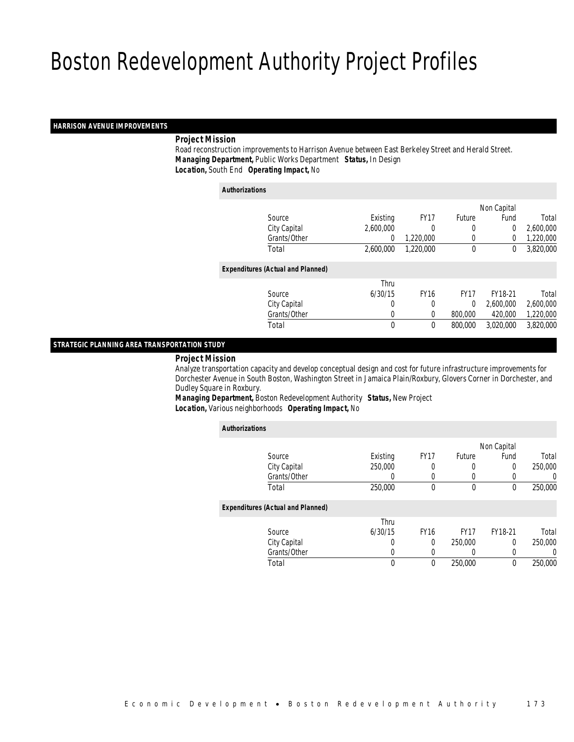#### *HARRISON AVENUE IMPROVEMENTS*

#### *Project Mission*

 Road reconstruction improvements to Harrison Avenue between East Berkeley Street and Herald Street. *Managing Department,* Public Works Department *Status,* In Design*Location,* South End *Operating Impact,* No

*Authorizations*

|                                          |             |             |             | Non Capital    |           |
|------------------------------------------|-------------|-------------|-------------|----------------|-----------|
| Source                                   | Existing    | <b>FY17</b> | Future      | Fund           | Total     |
| City Capital                             | 2,600,000   | 0           | 0           | $\overline{0}$ | 2,600,000 |
| Grants/Other                             | 0           | 1,220,000   | 0           | 0              | 1,220,000 |
| Total                                    | 2,600,000   | 1,220,000   | 0           | 0              | 3,820,000 |
| <b>Expenditures (Actual and Planned)</b> |             |             |             |                |           |
|                                          | Thru        |             |             |                |           |
| Source                                   | 6/30/15     | <b>FY16</b> | <b>FY17</b> | FY18-21        | Total     |
| City Capital                             | 0           | 0           | $\theta$    | 2,600,000      | 2,600,000 |
| Grants/Other                             | 0           | 0           | 800,000     | 420,000        | 1,220,000 |
| Total                                    | $\mathbf 0$ | 0           | 800,000     | 3,020,000      | 3,820,000 |
|                                          |             |             |             |                |           |

*STRATEGIC PLANNING AREA TRANSPORTATION STUDY* 

#### *Project Mission*

 Analyze transportation capacity and develop conceptual design and cost for future infrastructure improvements for Dorchester Avenue in South Boston, Washington Street in Jamaica Plain/Roxbury, Glovers Corner in Dorchester, and Dudley Square in Roxbury.

*Managing Department,* Boston Redevelopment Authority *Status,* New Project*Location,* Various neighborhoods *Operating Impact,* No

| <b>Authorizations</b> |                                          |          |             |                  |             |         |
|-----------------------|------------------------------------------|----------|-------------|------------------|-------------|---------|
|                       |                                          |          |             |                  | Non Capital |         |
|                       | Source                                   | Existing | <b>FY17</b> | Future           | Fund        | Total   |
|                       | City Capital                             | 250,000  | 0           | 0                | 0           | 250,000 |
|                       | Grants/Other                             | 0        | 0           | 0                | 0           | 0       |
|                       | Total                                    | 250,000  | 0           | 0                | 0           | 250,000 |
|                       | <b>Expenditures (Actual and Planned)</b> |          |             |                  |             |         |
|                       |                                          | Thru     |             |                  |             |         |
|                       | Source                                   | 6/30/15  | <b>FY16</b> | FY <sub>17</sub> | FY18-21     | Total   |
|                       | City Capital                             | 0        | 0           | 250,000          | 0           | 250,000 |
|                       | Grants/Other                             | 0        | 0           | 0                | 0           | 0       |
|                       | Total                                    | 0        | 0           | 250,000          | 0           | 250,000 |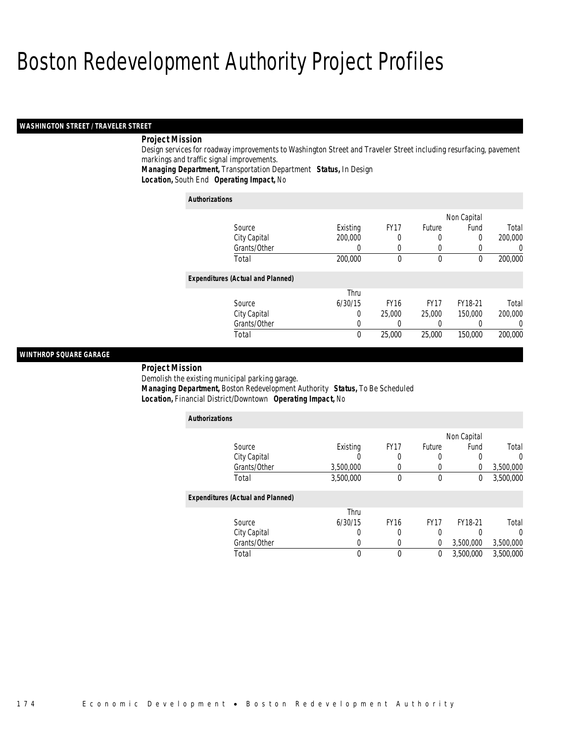### *WASHINGTON STREET / TRAVELER STREET*

#### *Project Mission*

Design services for roadway improvements to Washington Street and Traveler Street including resurfacing, pavement markings and traffic signal improvements.

*Managing Department,* Transportation Department *Status,* In Design

*Location,* South End *Operating Impact,* No

| <b>Authorizations</b>                    |          |                  |             |             |         |
|------------------------------------------|----------|------------------|-------------|-------------|---------|
|                                          |          |                  |             | Non Capital |         |
| Source                                   | Existing | FY <sub>17</sub> | Future      | Fund        | Total   |
| City Capital                             | 200,000  | 0                | 0           | 0           | 200,000 |
| Grants/Other                             |          |                  |             | 0           | 0       |
| Total                                    | 200,000  | $\theta$         | $\theta$    | 0           | 200,000 |
| <b>Expenditures (Actual and Planned)</b> |          |                  |             |             |         |
|                                          | Thru     |                  |             |             |         |
| Source                                   | 6/30/15  | <b>FY16</b>      | <b>FY17</b> | FY18-21     | Total   |
| City Capital                             | 0        | 25,000           | 25,000      | 150,000     | 200,000 |
| Grants/Other                             | 0        |                  | 0           | 0           | 0       |
| Total                                    | $\theta$ | 25,000           | 25,000      | 150,000     | 200,000 |

#### *WINTHROP SQUARE GARAGE*

#### *Project Mission*

Demolish the existing municipal parking garage.

*Managing Department,* Boston Redevelopment Authority *Status,* To Be Scheduled

*Location,* Financial District/Downtown *Operating Impact,* No

| <b>Authorizations</b>                    |           |             |             |             |           |
|------------------------------------------|-----------|-------------|-------------|-------------|-----------|
|                                          |           |             |             | Non Capital |           |
| Source                                   | Existing  | <b>FY17</b> | Future      | Fund        | Total     |
| City Capital                             |           | 0           |             |             | 0         |
| Grants/Other                             | 3,500,000 | 0           |             | 0           | 3,500,000 |
| Total                                    | 3,500,000 | 0           | $\theta$    | 0           | 3,500,000 |
| <b>Expenditures (Actual and Planned)</b> |           |             |             |             |           |
|                                          | Thru      |             |             |             |           |
| Source                                   | 6/30/15   | <b>FY16</b> | <b>FY17</b> | FY18-21     | Total     |
| City Capital                             | 0         | 0           | 0           |             | $\Omega$  |
| Grants/Other                             |           |             | 0           | 3,500,000   | 3,500,000 |
| Total                                    | 0         | $\theta$    | $\theta$    | 3,500,000   | 3,500,000 |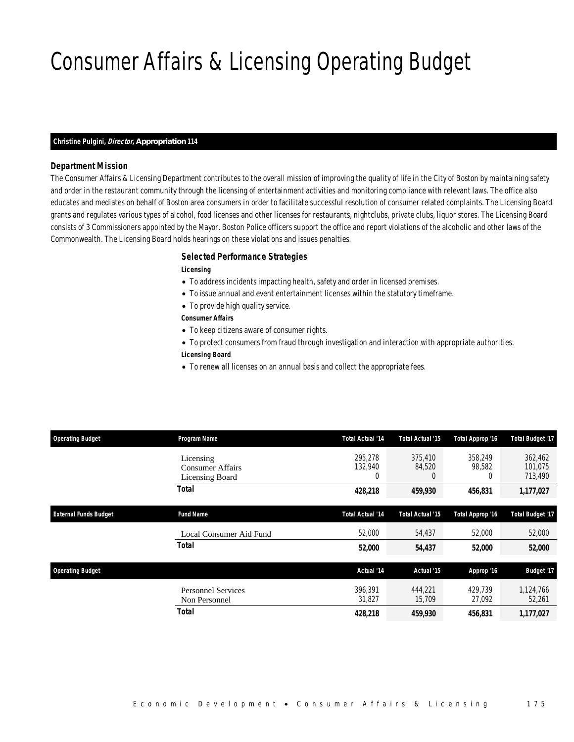# Consumer Affairs & Licensing Operating Budget

#### *Christine Pulgini, Director, Appropriation 114*

#### *Department Mission*

The Consumer Affairs & Licensing Department contributes to the overall mission of improving the quality of life in the City of Boston by maintaining safety and order in the restaurant community through the licensing of entertainment activities and monitoring compliance with relevant laws. The office also educates and mediates on behalf of Boston area consumers in order to facilitate successful resolution of consumer related complaints. The Licensing Board grants and regulates various types of alcohol, food licenses and other licenses for restaurants, nightclubs, private clubs, liquor stores. The Licensing Board consists of 3 Commissioners appointed by the Mayor. Boston Police officers support the office and report violations of the alcoholic and other laws of the Commonwealth. The Licensing Board holds hearings on these violations and issues penalties.

#### *Selected Performance Strategies*

#### *Licensing*

- To address incidents impacting health, safety and order in licensed premises.
- To issue annual and event entertainment licenses within the statutory timeframe.
- To provide high quality service.

#### *Consumer Affairs*

- To keep citizens aware of consumer rights.
- To protect consumers from fraud through investigation and interaction with appropriate authorities. *Licensing Board*
- To renew all licenses on an annual basis and collect the appropriate fees.

| <b>Operating Budget</b>      | Program Name                                            | <b>Total Actual '14</b>        | <b>Total Actual '15</b> | Total Approp '16  | <b>Total Budget '17</b>       |
|------------------------------|---------------------------------------------------------|--------------------------------|-------------------------|-------------------|-------------------------------|
|                              | Licensing<br><b>Consumer Affairs</b><br>Licensing Board | 295.278<br>132,940<br>$\theta$ | 375,410<br>84,520<br>0  | 358,249<br>98,582 | 362,462<br>101,075<br>713,490 |
|                              | <b>Total</b>                                            | 428,218                        | 459,930                 | 456,831           | 1,177,027                     |
| <b>External Funds Budget</b> | <b>Fund Name</b>                                        | <b>Total Actual '14</b>        | Total Actual '15        | Total Approp '16  | <b>Total Budget '17</b>       |
|                              | Local Consumer Aid Fund                                 | 52,000                         | 54,437                  | 52,000            | 52,000                        |
|                              | <b>Total</b>                                            | 52,000                         | 54,437                  | 52,000            | 52,000                        |
| <b>Operating Budget</b>      |                                                         | Actual '14                     | Actual '15              | Approp '16        | Budget '17                    |
|                              | <b>Personnel Services</b><br>Non Personnel              | 396.391<br>31,827              | 444.221<br>15,709       | 429.739<br>27,092 | 1,124,766<br>52,261           |
|                              | Total                                                   | 428.218                        | 459,930                 | 456,831           | 1,177,027                     |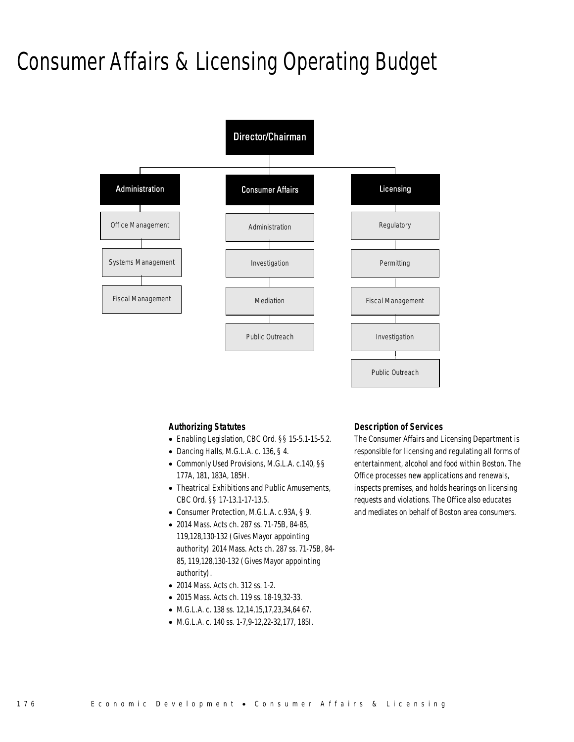### Consumer Affairs & Licensing Operating Budget



#### *Authorizing Statutes*

- Enabling Legislation, CBC Ord. §§ 15-5.1-15-5.2.
- Dancing Halls, M.G.L.A. c. 136, § 4.
- Commonly Used Provisions, M.G.L.A. c.140, §§ 177A, 181, 183A, 185H.
- Theatrical Exhibitions and Public Amusements, CBC Ord. §§ 17-13.1-17-13.5.
- Consumer Protection, M.G.L.A. c.93A, § 9.
- 2014 Mass. Acts ch. 287 ss. 71-75B, 84-85, 119,128,130-132 (Gives Mayor appointing authority) 2014 Mass. Acts ch. 287 ss. 71-75B, 84- 85, 119,128,130-132 (Gives Mayor appointing authority).
- 2014 Mass. Acts ch. 312 ss. 1-2.
- 2015 Mass. Acts ch. 119 ss. 18-19,32-33.
- M.G.L.A. c. 138 ss. 12,14,15,17,23,34,64 67.
- M.G.L.A. c. 140 ss. 1-7,9-12,22-32,177, 185I.

#### *Description of Services*

The Consumer Affairs and Licensing Department is responsible for licensing and regulating all forms of entertainment, alcohol and food within Boston. The Office processes new applications and renewals, inspects premises, and holds hearings on licensing requests and violations. The Office also educates and mediates on behalf of Boston area consumers.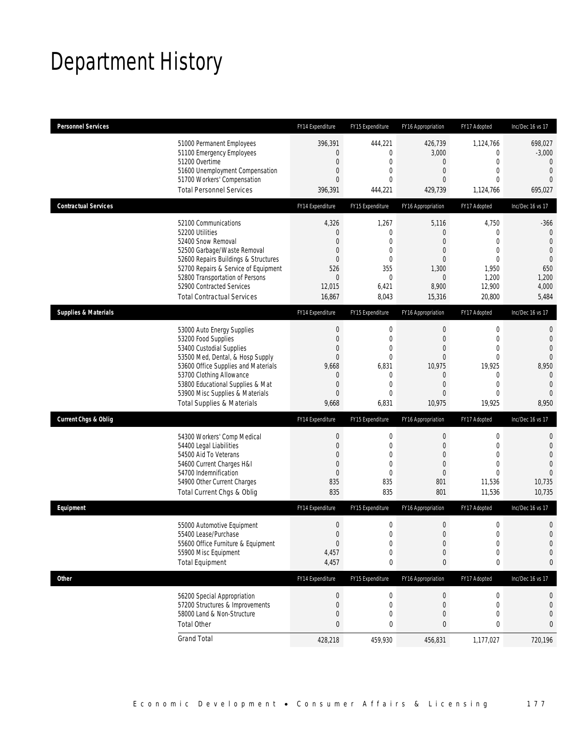## Department History

| <b>Personnel Services</b>       |                                       | FY14 Expenditure | FY15 Expenditure | FY16 Appropriation | FY17 Adopted     | Inc/Dec 16 vs 17 |
|---------------------------------|---------------------------------------|------------------|------------------|--------------------|------------------|------------------|
|                                 | 51000 Permanent Employees             | 396,391          | 444,221          | 426,739            | 1,124,766        | 698,027          |
|                                 | 51100 Emergency Employees             | 0                | 0                | 3,000              | 0                | $-3,000$         |
|                                 | 51200 Overtime                        | 0                | 0                | $\theta$           | $\overline{0}$   | $\mathbf{0}$     |
|                                 | 51600 Unemployment Compensation       | $\mathbf 0$      | 0                | $\mathbf{0}$       | $\overline{0}$   | $\theta$         |
|                                 | 51700 Workers' Compensation           | $\overline{0}$   | 0                | $\overline{0}$     | $\theta$         | $\Omega$         |
|                                 | <b>Total Personnel Services</b>       | 396,391          | 444,221          | 429,739            | 1,124,766        | 695,027          |
| <b>Contractual Services</b>     |                                       | FY14 Expenditure | FY15 Expenditure | FY16 Appropriation | FY17 Adopted     | Inc/Dec 16 vs 17 |
|                                 | 52100 Communications                  | 4,326            | 1,267            | 5,116              | 4,750            | $-366$           |
|                                 | 52200 Utilities                       | 0                | 0                | $\theta$           | 0                | $\mathbf 0$      |
|                                 | 52400 Snow Removal                    | $\overline{0}$   | $\overline{0}$   | $\mathbf{0}$       | $\Omega$         | $\mathbf{0}$     |
|                                 | 52500 Garbage/Waste Removal           | $\mathbf{0}$     | 0                | $\theta$           | $\overline{0}$   | $\mathbf{0}$     |
|                                 | 52600 Repairs Buildings & Structures  | $\overline{0}$   | 0                | $\mathbf{0}$       | $\overline{0}$   | $\mathbf 0$      |
|                                 | 52700 Repairs & Service of Equipment  | 526              | 355              | 1,300              | 1,950            | 650              |
|                                 | 52800 Transportation of Persons       | $\overline{0}$   | 0                | $\theta$           | 1,200            | 1,200            |
|                                 | 52900 Contracted Services             | 12,015           | 6,421            | 8,900              | 12,900           | 4,000            |
|                                 | <b>Total Contractual Services</b>     | 16,867           | 8,043            | 15,316             | 20,800           | 5,484            |
| <b>Supplies &amp; Materials</b> |                                       | FY14 Expenditure | FY15 Expenditure | FY16 Appropriation | FY17 Adopted     | Inc/Dec 16 vs 17 |
|                                 | 53000 Auto Energy Supplies            | $\boldsymbol{0}$ | 0                | $\theta$           | 0                | 0                |
|                                 | 53200 Food Supplies                   | $\overline{0}$   | 0                | $\theta$           | $\mathbf{0}$     | $\mathbf 0$      |
|                                 | 53400 Custodial Supplies              | $\overline{0}$   | 0                | $\overline{0}$     | $\Omega$         | $\overline{0}$   |
|                                 | 53500 Med, Dental, & Hosp Supply      | $\overline{0}$   | 0                | $\theta$           | $\overline{0}$   | $\overline{0}$   |
|                                 | 53600 Office Supplies and Materials   | 9,668            | 6,831            | 10,975             | 19,925           | 8,950            |
|                                 | 53700 Clothing Allowance              | 0                | 0                | $\theta$           | 0                | $\mathbf{0}$     |
|                                 | 53800 Educational Supplies & Mat      | $\overline{0}$   | 0                | $\overline{0}$     | $\overline{0}$   | $\overline{0}$   |
|                                 | 53900 Misc Supplies & Materials       | $\overline{0}$   | $\overline{0}$   | $\overline{0}$     | $\Omega$         | $\Omega$         |
|                                 | <b>Total Supplies &amp; Materials</b> | 9,668            | 6,831            | 10,975             | 19,925           | 8,950            |
| <b>Current Chgs &amp; Oblig</b> |                                       | FY14 Expenditure | FY15 Expenditure | FY16 Appropriation | FY17 Adopted     | Inc/Dec 16 vs 17 |
|                                 | 54300 Workers' Comp Medical           | $\boldsymbol{0}$ | 0                | $\boldsymbol{0}$   | $\boldsymbol{0}$ | 0                |
|                                 | 54400 Legal Liabilities               | $\boldsymbol{0}$ | 0                | $\mathbf{0}$       | $\overline{0}$   | $\mathbf 0$      |
|                                 | 54500 Aid To Veterans                 | $\overline{0}$   | 0                | $\theta$           | $\Omega$         | $\overline{0}$   |
|                                 | 54600 Current Charges H&I             | $\boldsymbol{0}$ | 0                | $\mathbf{0}$       | $\overline{0}$   | $\overline{0}$   |
|                                 | 54700 Indemnification                 | $\overline{0}$   | 0                | $\theta$           | $\theta$         | 0                |
|                                 | 54900 Other Current Charges           | 835              | 835              | 801                | 11,536           | 10,735           |
|                                 | Total Current Chgs & Oblig            | 835              | 835              | 801                | 11,536           | 10,735           |
| Equipment                       |                                       | FY14 Expenditure | FY15 Expenditure | FY16 Appropriation | FY17 Adopted     | Inc/Dec 16 vs 17 |
|                                 | 55000 Automotive Equipment            | $\boldsymbol{0}$ | 0                | $\boldsymbol{0}$   | $\mathbf 0$      | $\mathbf 0$      |
|                                 | 55400 Lease/Purchase                  | $\Omega$         | $\theta$         | $\Omega$           | $\Omega$         | $\Omega$         |
|                                 | 55600 Office Furniture & Equipment    | $\boldsymbol{0}$ | $\boldsymbol{0}$ | $\boldsymbol{0}$   | $\boldsymbol{0}$ | $\mathbf 0$      |
|                                 | 55900 Misc Equipment                  | 4,457            | 0                | $\mathbf{0}$       | $\mathbf 0$      | 0                |
|                                 | <b>Total Equipment</b>                | 4,457            | 0                | 0                  | 0                | 0                |
| Other                           |                                       | FY14 Expenditure | FY15 Expenditure | FY16 Appropriation | FY17 Adopted     | Inc/Dec 16 vs 17 |
|                                 | 56200 Special Appropriation           | 0                | 0                | $\theta$           | 0                | 0                |
|                                 | 57200 Structures & Improvements       | 0                | $\boldsymbol{0}$ | $\theta$           | $\mathbf 0$      | $\mathbf 0$      |
|                                 | 58000 Land & Non-Structure            | $\mathbf 0$      | 0                | $\mathbf 0$        | $\mathbf 0$      | 0                |
|                                 | <b>Total Other</b>                    | $\bf{0}$         | 0                | 0                  | 0                | 0                |
|                                 | <b>Grand Total</b>                    | 428,218          | 459,930          | 456,831            | 1,177,027        | 720,196          |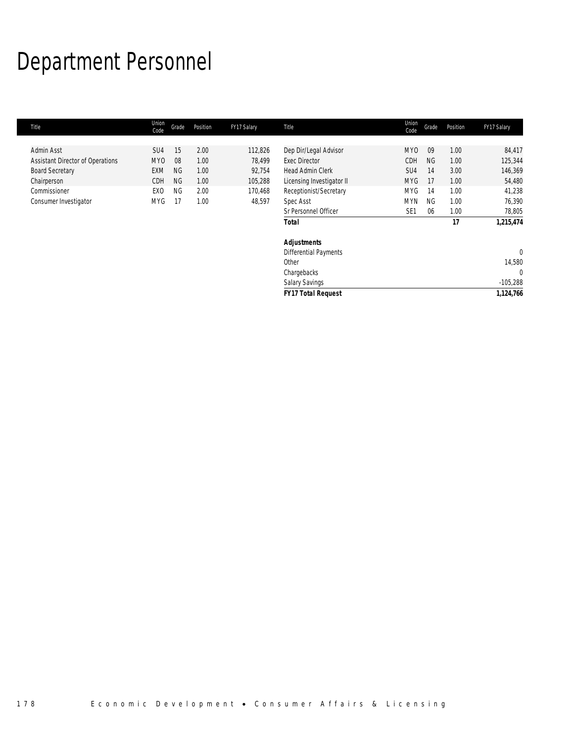# Department Personnel

| Union<br>Code   | Grade     | Position | FY17 Salary | Title                     | Union<br>Code   | Grade     | Position | FY17 Salary    |
|-----------------|-----------|----------|-------------|---------------------------|-----------------|-----------|----------|----------------|
|                 |           |          |             |                           |                 |           |          |                |
| SU4             | 15        | 2.00     | 112,826     | Dep Dir/Legal Advisor     | MY0             | 09        | 1.00     | 84,417         |
| MY <sub>0</sub> | 08        | 1.00     | 78,499      | <b>Exec Director</b>      | CDH             | <b>NG</b> | 1.00     | 125,344        |
| <b>EXM</b>      | <b>NG</b> | 1.00     | 92,754      | Head Admin Clerk          | SU <sub>4</sub> | 14        | 3.00     | 146,369        |
| CDH             | <b>NG</b> | 1.00     | 105,288     | Licensing Investigator II | <b>MYG</b>      | 17        | 1.00     | 54,480         |
| EX <sub>0</sub> | <b>NG</b> | 2.00     | 170,468     | Receptionist/Secretary    | MYG             | 14        | 1.00     | 41,238         |
| <b>MYG</b>      | 17        | 1.00     | 48,597      | Spec Asst                 | <b>MYN</b>      | <b>NG</b> | 1.00     | 76,390         |
|                 |           |          |             | Sr Personnel Officer      | SE <sub>1</sub> | 06        | 1.00     | 78,805         |
|                 |           |          |             | <b>Total</b>              |                 |           | 17       | 1,215,474      |
|                 |           |          |             | <b>Adjustments</b>        |                 |           |          |                |
|                 |           |          |             | Differential Payments     |                 |           |          | $\overline{0}$ |
|                 |           |          |             | Other                     |                 |           |          | 14,580         |
|                 |           |          |             | Chargebacks               |                 |           |          | $\mathbf{0}$   |
|                 |           |          |             | Salary Savings            |                 |           |          | $-105,288$     |
|                 |           |          |             | <b>FY17 Total Request</b> |                 |           |          | 1,124,766      |
|                 |           |          |             |                           |                 |           |          |                |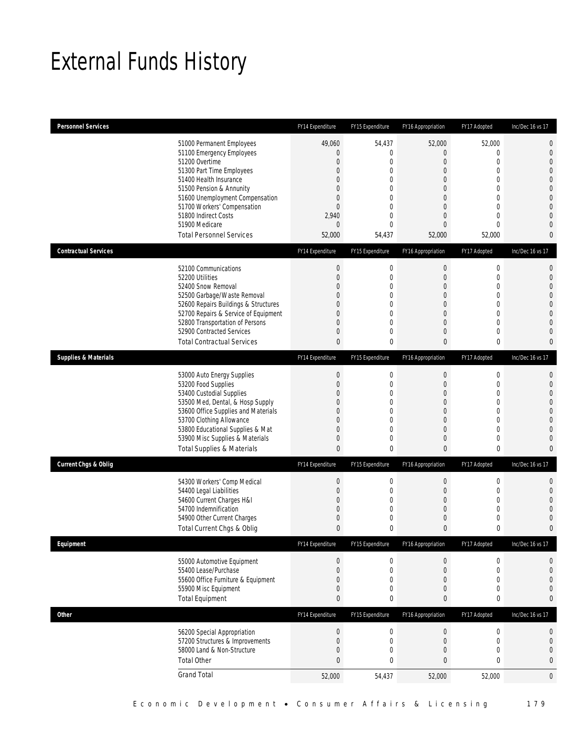## External Funds History

| <b>Personnel Services</b>       |                                       | FY14 Expenditure | FY15 Expenditure | FY16 Appropriation | FY17 Adopted     | Inc/Dec 16 vs 17 |
|---------------------------------|---------------------------------------|------------------|------------------|--------------------|------------------|------------------|
|                                 | 51000 Permanent Employees             | 49,060           | 54,437           | 52,000             | 52,000           | $\mathbf 0$      |
|                                 | 51100 Emergency Employees             | 0                | $\mathbf 0$      | 0                  | $\mathbf{0}$     | $\mathbf 0$      |
|                                 | 51200 Overtime                        | 0                | 0                | 0                  | $\mathbf 0$      | $\overline{0}$   |
|                                 | 51300 Part Time Employees             | 0                | $\mathbf{0}$     | 0                  | $\mathbf{0}$     | $\mathbf{0}$     |
|                                 | 51400 Health Insurance                | 0                | $\mathbf 0$      | 0                  | $\mathbf{0}$     | $\overline{0}$   |
|                                 | 51500 Pension & Annunity              | 0                | 0                | $\boldsymbol{0}$   | $\mathbf 0$      | $\overline{0}$   |
|                                 | 51600 Unemployment Compensation       | 0                | $\Omega$         | 0                  | $\mathbf{0}$     | $\mathbf 0$      |
|                                 | 51700 Workers' Compensation           | 0                | $\mathbf 0$      | 0                  | $\mathbf{0}$     | $\overline{0}$   |
|                                 | 51800 Indirect Costs                  | 2,940            | $\mathbf{0}$     | $\mathbf{0}$       | $\mathbf{0}$     | $\overline{0}$   |
|                                 | 51900 Medicare                        | 0                | $\mathbf{0}$     | 0                  | $\mathbf{0}$     | $\overline{0}$   |
|                                 | <b>Total Personnel Services</b>       | 52,000           | 54,437           | 52,000             | 52,000           | $\mathbf{0}$     |
| <b>Contractual Services</b>     |                                       | FY14 Expenditure | FY15 Expenditure | FY16 Appropriation | FY17 Adopted     | Inc/Dec 16 vs 17 |
|                                 | 52100 Communications                  | $\boldsymbol{0}$ | $\boldsymbol{0}$ | $\boldsymbol{0}$   | $\boldsymbol{0}$ | $\mathbf 0$      |
|                                 | 52200 Utilities                       | 0                | $\mathbf 0$      | $\boldsymbol{0}$   | $\mathbf 0$      | $\mathbf 0$      |
|                                 | 52400 Snow Removal                    | 0                | $\mathbf 0$      | 0                  | $\mathbf{0}$     | $\overline{0}$   |
|                                 | 52500 Garbage/Waste Removal           | 0                | $\mathbf 0$      | $\boldsymbol{0}$   | $\mathbf 0$      | $\overline{0}$   |
|                                 | 52600 Repairs Buildings & Structures  | 0                | $\mathbf{0}$     | 0                  | $\mathbf{0}$     | $\overline{0}$   |
|                                 | 52700 Repairs & Service of Equipment  | 0                | 0                | 0                  | $\mathbf{0}$     | $\overline{0}$   |
|                                 | 52800 Transportation of Persons       | 0                | $\overline{0}$   | $\overline{0}$     | $\mathbf{0}$     | $\mathbf{0}$     |
|                                 | 52900 Contracted Services             | 0                | $\mathbf 0$      | 0                  | $\mathbf{0}$     | $\overline{0}$   |
|                                 | <b>Total Contractual Services</b>     | 0                | 0                | 0                  | 0                | $\mathbf{0}$     |
| <b>Supplies &amp; Materials</b> |                                       | FY14 Expenditure | FY15 Expenditure | FY16 Appropriation | FY17 Adopted     | Inc/Dec 16 vs 17 |
|                                 | 53000 Auto Energy Supplies            | $\boldsymbol{0}$ | 0                | $\boldsymbol{0}$   | $\mathbf 0$      | $\mathbf{0}$     |
|                                 | 53200 Food Supplies                   | 0                | $\mathbf 0$      | $\boldsymbol{0}$   | $\mathbf 0$      | $\mathbf 0$      |
|                                 | 53400 Custodial Supplies              | 0                | $\mathbf 0$      | 0                  | $\mathbf{0}$     | $\overline{0}$   |
|                                 | 53500 Med, Dental, & Hosp Supply      | 0                | 0                | 0                  | $\mathbf{0}$     | $\overline{0}$   |
|                                 | 53600 Office Supplies and Materials   | 0                | $\overline{0}$   | $\overline{0}$     | $\mathbf{0}$     | $\mathbf 0$      |
|                                 | 53700 Clothing Allowance              | 0                | $\mathbf 0$      | 0                  | $\mathbf{0}$     | $\overline{0}$   |
|                                 | 53800 Educational Supplies & Mat      | 0                | $\overline{0}$   | $\boldsymbol{0}$   | $\mathbf{0}$     | $\overline{0}$   |
|                                 | 53900 Misc Supplies & Materials       | 0                | $\mathbf 0$      | 0                  | $\mathbf{0}$     | $\overline{0}$   |
|                                 | <b>Total Supplies &amp; Materials</b> | 0                | 0                | 0                  | 0                | $\mathbf{0}$     |
| <b>Current Chgs &amp; Oblig</b> |                                       | FY14 Expenditure | FY15 Expenditure | FY16 Appropriation | FY17 Adopted     | Inc/Dec 16 vs 17 |
|                                 | 54300 Workers' Comp Medical           | $\boldsymbol{0}$ | 0                | $\boldsymbol{0}$   | $\mathbf 0$      | $\mathbf 0$      |
|                                 | 54400 Legal Liabilities               | $\boldsymbol{0}$ | $\mathbf 0$      | $\boldsymbol{0}$   | $\mathbf 0$      | $\mathbf{0}$     |
|                                 | 54600 Current Charges H&I             | 0                | $\mathbf 0$      | 0                  | $\mathbf{0}$     | $\overline{0}$   |
|                                 | 54700 Indemnification                 | 0                | $\mathbf 0$      | 0                  | $\mathbf 0$      | $\overline{0}$   |
|                                 | 54900 Other Current Charges           | 0                | $\mathbf 0$      | 0                  | $\mathbf 0$      | $\mathbf 0$      |
|                                 | Total Current Chgs & Oblig            | 0                | 0                | 0                  | 0                | $\mathbf{0}$     |
| Equipment                       |                                       | FY14 Expenditure | FY15 Expenditure | FY16 Appropriation | FY17 Adopted     | Inc/Dec 16 vs 17 |
|                                 | 55000 Automotive Equipment            | $\boldsymbol{0}$ | 0                | $\boldsymbol{0}$   | $\boldsymbol{0}$ | $\mathbf 0$      |
|                                 | 55400 Lease/Purchase                  | $\boldsymbol{0}$ | $\mathbf 0$      | $\boldsymbol{0}$   | $\mathbf 0$      | $\mathbf 0$      |
|                                 | 55600 Office Furniture & Equipment    | 0                | $\mathbf 0$      | $\mathbf 0$        | $\mathbf 0$      | $\mathbf 0$      |
|                                 | 55900 Misc Equipment                  | 0                | 0                | $\boldsymbol{0}$   | $\boldsymbol{0}$ | $\mathbf 0$      |
|                                 | <b>Total Equipment</b>                | 0                | 0                | 0                  | 0                | 0                |
| Other                           |                                       | FY14 Expenditure | FY15 Expenditure | FY16 Appropriation | FY17 Adopted     | Inc/Dec 16 vs 17 |
|                                 | 56200 Special Appropriation           | $\boldsymbol{0}$ | $\boldsymbol{0}$ | $\boldsymbol{0}$   | $\boldsymbol{0}$ | 0                |
|                                 | 57200 Structures & Improvements       | $\boldsymbol{0}$ | $\mathbf 0$      | $\boldsymbol{0}$   | $\mathbf 0$      | $\mathbf 0$      |
|                                 | 58000 Land & Non-Structure            | 0                | $\mathbf 0$      | 0                  | $\mathbf 0$      | $\mathbf 0$      |
|                                 | <b>Total Other</b>                    | 0                | 0                | $\bf{0}$           | $\mathbf{0}$     | $\bf{0}$         |
|                                 | <b>Grand Total</b>                    | 52,000           | 54,437           | 52,000             | 52,000           | 0                |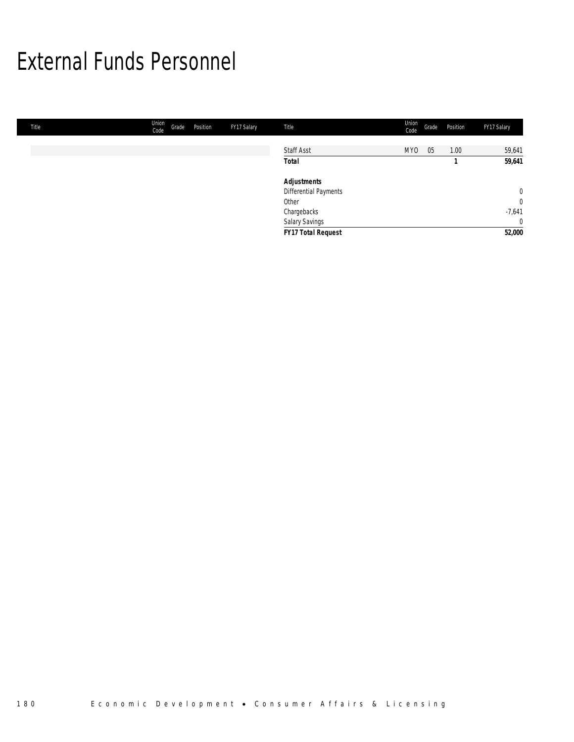## External Funds Personnel

| Title | Union<br>Code | Grade | Position | FY17 Salary | Title                        | Union<br>Code | Grade | Position | FY17 Salary    |
|-------|---------------|-------|----------|-------------|------------------------------|---------------|-------|----------|----------------|
|       |               |       |          |             |                              |               |       |          |                |
|       |               |       |          |             | <b>Staff Asst</b>            | <b>MYO</b>    | 05    | 1.00     | 59,641         |
|       |               |       |          |             | <b>Total</b>                 |               |       |          | 59,641         |
|       |               |       |          |             | <b>Adjustments</b>           |               |       |          |                |
|       |               |       |          |             | <b>Differential Payments</b> |               |       |          | $\mathbf 0$    |
|       |               |       |          |             | Other                        |               |       |          | $\overline{0}$ |
|       |               |       |          |             | Chargebacks                  |               |       |          | $-7,641$       |
|       |               |       |          |             | Salary Savings               |               |       |          | $\overline{0}$ |
|       |               |       |          |             | <b>FY17 Total Request</b>    |               |       |          | 52,000         |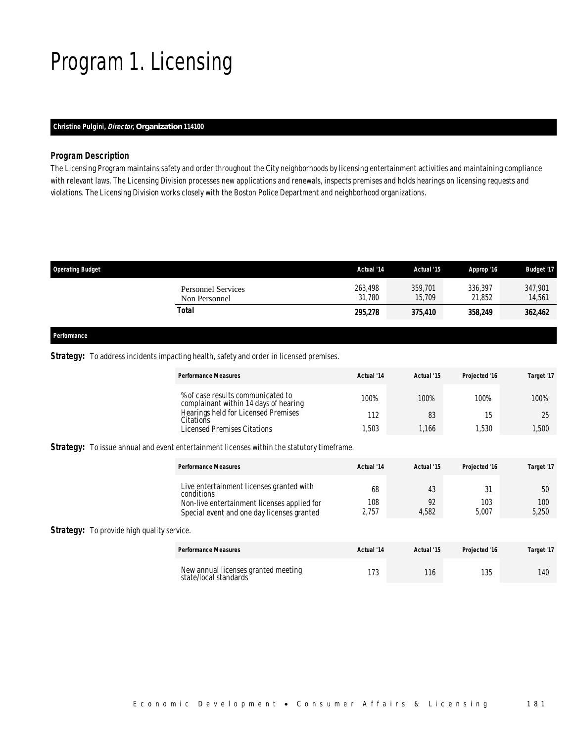## Program 1. Licensing

#### *Christine Pulgini, Director, Organization 114100*

#### *Program Description*

The Licensing Program maintains safety and order throughout the City neighborhoods by licensing entertainment activities and maintaining compliance with relevant laws. The Licensing Division processes new applications and renewals, inspects premises and holds hearings on licensing requests and violations. The Licensing Division works closely with the Boston Police Department and neighborhood organizations.

| <b>Operating Budget</b>                    | Actual '14        | Actual '15        | Approp '16        | <b>Budget '17</b> |
|--------------------------------------------|-------------------|-------------------|-------------------|-------------------|
| <b>Personnel Services</b><br>Non Personnel | 263,498<br>31.780 | 359,701<br>15.709 | 336,397<br>21.852 | 347,901<br>14,561 |
| Total                                      | 295,278           | 375,410           | 358,249           | 362,462           |
|                                            |                   |                   |                   |                   |

*Performance* 

#### **Strategy:** To address incidents impacting health, safety and order in licensed premises.

| <b>Performance Measures</b>                                                | Actual '14 | Actual '15 | Projected '16 | Target '17 |
|----------------------------------------------------------------------------|------------|------------|---------------|------------|
| % of case results communicated to<br>complainant within 14 days of hearing | 100%       | 100%       | 100%          | 100%       |
| Hearings held for Licensed Premises<br>Citations                           | 112        | 83         |               |            |
| Licensed Premises Citations                                                | .503       | .166       | .530          | .500       |

**Strategy:** To issue annual and event entertainment licenses within the statutory timeframe.

| <b>Performance Measures</b>                                                               | Actual '14   | Actual '15  | Projected '16 | Target '17               |
|-------------------------------------------------------------------------------------------|--------------|-------------|---------------|--------------------------|
| Live entertainment licenses granted with<br>conditions                                    | 68           | 43          |               |                          |
| Non-live entertainment licenses applied for<br>Special event and one day licenses granted | 108<br>2.757 | 92<br>4.582 | 103<br>5.007  | 10 <sub>C</sub><br>5,250 |

#### **Strategy:** To provide high quality service.

| <b>Performance Measures</b>                                  | Actual '14 | Actual '15 | Projected '16 | Target '17 |
|--------------------------------------------------------------|------------|------------|---------------|------------|
| New annual licenses granted meeting<br>state/local standards | 17c        | 116        | 135           | 40         |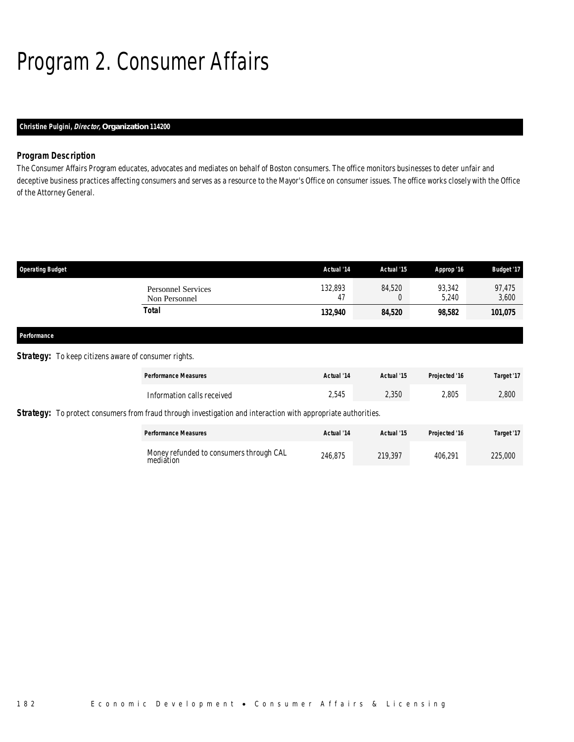# Program 2. Consumer Affairs

### *Christine Pulgini, Director, Organization 114200*

#### *Program Description*

The Consumer Affairs Program educates, advocates and mediates on behalf of Boston consumers. The office monitors businesses to deter unfair and deceptive business practices affecting consumers and serves as a resource to the Mayor's Office on consumer issues. The office works closely with the Office of the Attorney General.

| <b>Operating Budget</b> |                                                                                                                      | Actual '14    | Actual '15  | Approp '16      | <b>Budget '17</b> |
|-------------------------|----------------------------------------------------------------------------------------------------------------------|---------------|-------------|-----------------|-------------------|
|                         | <b>Personnel Services</b><br>Non Personnel                                                                           | 132,893<br>47 | 84,520<br>0 | 93,342<br>5,240 | 97,475<br>3,600   |
|                         | Total                                                                                                                | 132,940       | 84,520      | 98,582          | 101,075           |
| Performance             |                                                                                                                      |               |             |                 |                   |
|                         | <b>Strategy:</b> To keep citizens aware of consumer rights.                                                          |               |             |                 |                   |
|                         | <b>Performance Measures</b>                                                                                          | Actual '14    | Actual '15  | Projected '16   | Target '17        |
|                         | Information calls received                                                                                           | 2,545         | 2,350       | 2,805           | 2,800             |
|                         | <b>Strategy:</b> To protect consumers from fraud through investigation and interaction with appropriate authorities. |               |             |                 |                   |
|                         | <b>Performance Measures</b>                                                                                          | Actual '14    | Actual '15  | Projected '16   | Target '17        |
|                         | Money refunded to consumers through CAL<br>mediation                                                                 | 246,875       | 219,397     | 406,291         | 225,000           |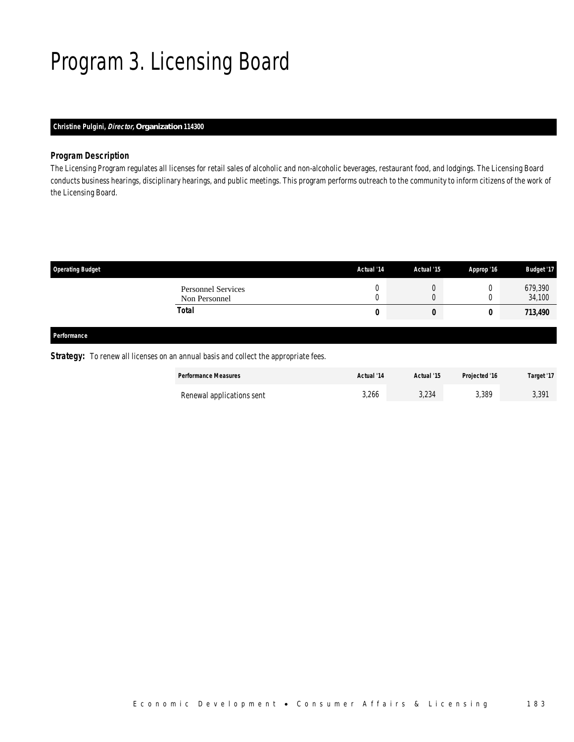# Program 3. Licensing Board

### *Christine Pulgini, Director, Organization 114300*

#### *Program Description*

The Licensing Program regulates all licenses for retail sales of alcoholic and non-alcoholic beverages, restaurant food, and lodgings. The Licensing Board conducts business hearings, disciplinary hearings, and public meetings. This program performs outreach to the community to inform citizens of the work of the Licensing Board.

| <b>Operating Budget</b>                    | Actual '14 | Actual '15 | Approp '16 | <b>Budget '17</b> |
|--------------------------------------------|------------|------------|------------|-------------------|
| <b>Personnel Services</b><br>Non Personnel |            |            |            | 679,390<br>34,100 |
| <b>Total</b>                               | 0          |            | IJ         | 713,490           |
| Performance                                |            |            |            |                   |

#### **Strategy:** To renew all licenses on an annual basis and collect the appropriate fees.

| <b>Performance Measures</b> | Actual '14 | Actual '15 | Projected '16 | Target '17 |
|-----------------------------|------------|------------|---------------|------------|
| Renewal applications sent   | 3,266      | 3,234      | 3,389         | 3,391      |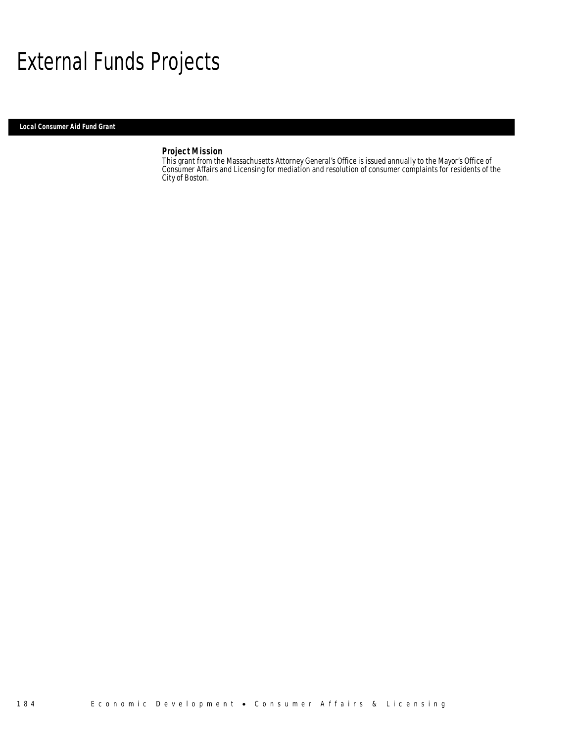### External Funds Projects

*Local Consumer Aid Fund Grant* 

#### *Project Mission*

This grant from the Massachusetts Attorney General's Office is issued annually to the Mayor's Office of Consumer Affairs and Licensing for mediation and resolution of consumer complaints for residents of the City of Boston.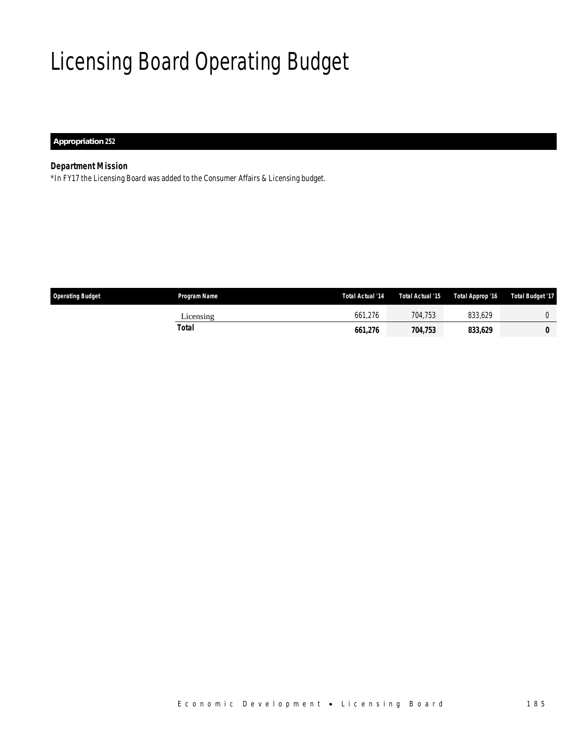# Licensing Board Operating Budget

*Appropriation 252* 

### *Department Mission*

\*In FY17 the Licensing Board was added to the Consumer Affairs & Licensing budget.

| <b>Operating Budget</b> | Program Name | Total Actual '14 | Total Actual '15 | Total Approp '16 | <b>Total Budget '17</b> |
|-------------------------|--------------|------------------|------------------|------------------|-------------------------|
|                         | Licensing    | 661,276          | 704.753          | 833.629          |                         |
|                         | Total        | 661,276          | 704,753          | 833,629          | 0                       |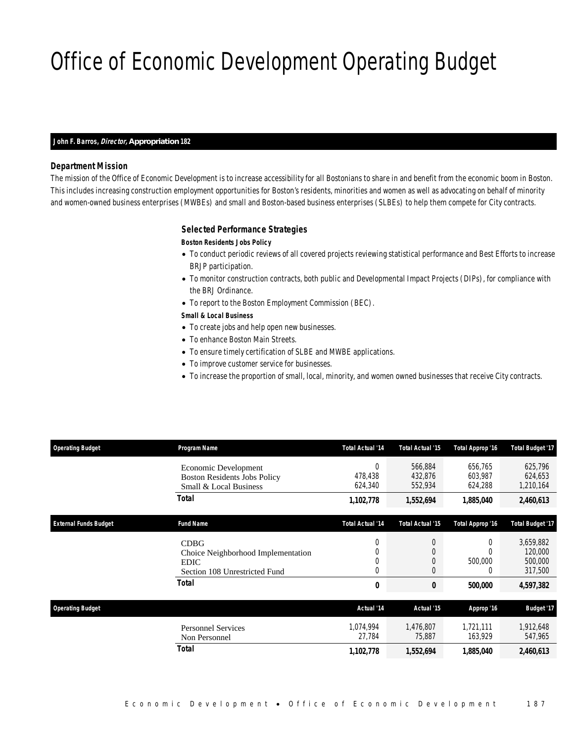# Office of Economic Development Operating Budget

#### *John F. Barros, Director, Appropriation 182*

#### *Department Mission*

The mission of the Office of Economic Development is to increase accessibility for all Bostonians to share in and benefit from the economic boom in Boston. This includes increasing construction employment opportunities for Boston's residents, minorities and women as well as advocating on behalf of minority and women-owned business enterprises (MWBEs) and small and Boston-based business enterprises (SLBEs) to help them compete for City contracts.

#### *Selected Performance Strategies*

#### *Boston Residents Jobs Policy*

- To conduct periodic reviews of all covered projects reviewing statistical performance and Best Efforts to increase BRJP participation.
- To monitor construction contracts, both public and Developmental Impact Projects (DIPs), for compliance with the BRJ Ordinance.
- To report to the Boston Employment Commission (BEC).

#### *Small & Local Business*

- To create jobs and help open new businesses.
- To enhance Boston Main Streets.
- To ensure timely certification of SLBE and MWBE applications.
- To improve customer service for businesses.
- To increase the proportion of small, local, minority, and women owned businesses that receive City contracts.

| <b>Operating Budget</b>      | Program Name                                                | <b>Total Actual '14</b> | Total Actual '15   | Total Approp '16      | <b>Total Budget '17</b> |
|------------------------------|-------------------------------------------------------------|-------------------------|--------------------|-----------------------|-------------------------|
|                              | Economic Development<br><b>Boston Residents Jobs Policy</b> | $\theta$<br>478,438     | 566.884<br>432,876 | 656.765<br>603.987    | 625,796<br>624,653      |
|                              | Small & Local Business                                      | 624,340                 | 552,934            | 624,288               | 1,210,164               |
|                              | <b>Total</b>                                                | 1,102,778               | 1,552,694          | 1,885,040             | 2,460,613               |
| <b>External Funds Budget</b> | <b>Fund Name</b>                                            | <b>Total Actual '14</b> | Total Actual '15   | Total Approp '16      | <b>Total Budget '17</b> |
|                              | <b>CDBG</b>                                                 | $\overline{0}$          | $\overline{0}$     | 0                     | 3,659,882               |
|                              | Choice Neighborhood Implementation                          | 0                       | 0                  |                       | 120,000                 |
|                              | <b>EDIC</b>                                                 | 0                       | 0                  | 500,000               | 500,000                 |
|                              | Section 108 Unrestricted Fund                               | $\overline{0}$          | $\overline{0}$     | 0                     | 317,500                 |
|                              | <b>Total</b>                                                | 0                       | 0                  | <i><b>500,000</b></i> | 4,597,382               |
| <b>Operating Budget</b>      |                                                             | Actual '14              | Actual '15         | Approp '16            | <b>Budget '17</b>       |
|                              |                                                             |                         |                    |                       |                         |
|                              | <b>Personnel Services</b>                                   | 1,074,994               | 1,476,807          | 1,721,111             | 1,912,648               |
|                              | Non Personnel                                               | 27,784                  | 75,887             | 163,929               | 547,965                 |
|                              | Total                                                       | 1,102,778               | 1,552,694          | 1,885,040             | 2,460,613               |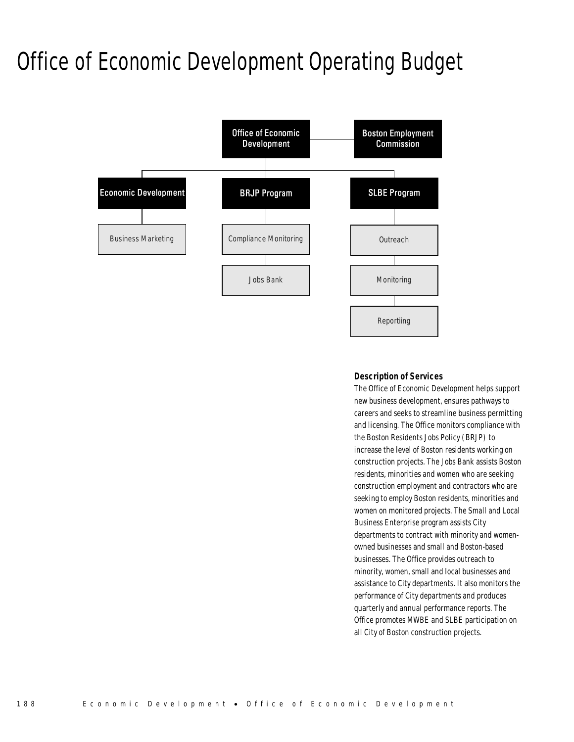# Office of Economic Development Operating Budget



#### *Description of Services*

The Office of Economic Development helps support new business development, ensures pathways to careers and seeks to streamline business permitting and licensing. The Office monitors compliance with the Boston Residents Jobs Policy (BRJP) to increase the level of Boston residents working on construction projects. The Jobs Bank assists Boston residents, minorities and women who are seeking construction employment and contractors who are seeking to employ Boston residents, minorities and women on monitored projects. The Small and Local Business Enterprise program assists City departments to contract with minority and womenowned businesses and small and Boston-based businesses. The Office provides outreach to minority, women, small and local businesses and assistance to City departments. It also monitors the performance of City departments and produces quarterly and annual performance reports. The Office promotes MWBE and SLBE participation on all City of Boston construction projects.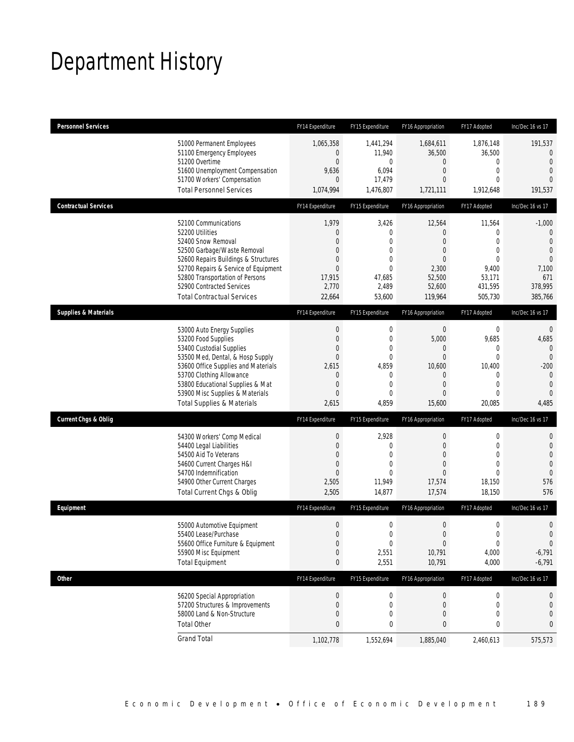## Department History

| <b>Personnel Services</b>       |                                                                          | FY14 Expenditure               | FY15 Expenditure                    | FY16 Appropriation              | FY17 Adopted                    | Inc/Dec 16 vs 17                          |
|---------------------------------|--------------------------------------------------------------------------|--------------------------------|-------------------------------------|---------------------------------|---------------------------------|-------------------------------------------|
|                                 | 51000 Permanent Employees<br>51100 Emergency Employees<br>51200 Overtime | 1,065,358<br>0<br>$\mathbf{0}$ | 1,441,294<br>11,940<br>$\mathbf{0}$ | 1,684,611<br>36,500<br>$\theta$ | 1,876,148<br>36,500<br>0        | 191,537<br>$\overline{0}$<br>$\mathbf{0}$ |
|                                 | 51600 Unemployment Compensation                                          | 9,636                          | 6,094                               | $\theta$                        | $\mathbf{0}$                    | $\overline{0}$                            |
|                                 | 51700 Workers' Compensation<br><b>Total Personnel Services</b>           | $\overline{0}$<br>1,074,994    | 17,479<br>1,476,807                 | $\overline{0}$<br>1,721,111     | $\mathbf{0}$<br>1,912,648       | $\Omega$<br>191,537                       |
| <b>Contractual Services</b>     |                                                                          | FY14 Expenditure               | FY15 Expenditure                    | FY16 Appropriation              | FY17 Adopted                    | Inc/Dec 16 vs 17                          |
|                                 |                                                                          |                                |                                     |                                 |                                 |                                           |
|                                 | 52100 Communications<br>52200 Utilities                                  | 1,979<br>0                     | 3,426<br>0                          | 12,564<br>$\theta$              | 11,564<br>$\mathbf 0$           | $-1,000$<br>$\mathbf{0}$                  |
|                                 | 52400 Snow Removal                                                       | $\overline{0}$                 | $\mathbf{0}$                        | $\overline{0}$                  | $\overline{0}$                  | $\overline{0}$                            |
|                                 | 52500 Garbage/Waste Removal                                              | 0                              | $\mathbf{0}$                        | $\theta$                        | $\mathbf{0}$                    | $\overline{0}$                            |
|                                 | 52600 Repairs Buildings & Structures                                     | 0                              | $\mathbf{0}$                        | $\theta$                        | $\Omega$                        | $\theta$                                  |
|                                 | 52700 Repairs & Service of Equipment<br>52800 Transportation of Persons  | $\mathbf{0}$<br>17,915         | $\mathbf{0}$<br>47,685              | 2,300<br>52,500                 | 9,400<br>53,171                 | 7,100<br>671                              |
|                                 | 52900 Contracted Services                                                | 2,770                          | 2,489                               | 52,600                          | 431,595                         | 378,995                                   |
|                                 | <b>Total Contractual Services</b>                                        | 22,664                         | 53,600                              | 119,964                         | 505,730                         | 385,766                                   |
| <b>Supplies &amp; Materials</b> |                                                                          | FY14 Expenditure               | FY15 Expenditure                    | FY16 Appropriation              | FY17 Adopted                    | Inc/Dec 16 vs 17                          |
|                                 | 53000 Auto Energy Supplies                                               | $\boldsymbol{0}$               | $\mathbf 0$                         | $\mathbf 0$                     | 0                               | $\mathbf 0$                               |
|                                 | 53200 Food Supplies                                                      | $\overline{0}$                 | $\mathbf{0}$                        | 5,000                           | 9,685                           | 4,685                                     |
|                                 | 53400 Custodial Supplies                                                 | 0                              | $\mathbf{0}$                        | $\theta$                        | $\mathbf{0}$                    | $\mathbf{0}$                              |
|                                 | 53500 Med, Dental, & Hosp Supply                                         | $\overline{0}$                 | $\mathbf{0}$                        | $\overline{0}$                  | $\overline{0}$                  | $\overline{0}$                            |
|                                 | 53600 Office Supplies and Materials                                      | 2,615                          | 4,859                               | 10,600                          | 10,400                          | $-200$                                    |
|                                 | 53700 Clothing Allowance<br>53800 Educational Supplies & Mat             | 0<br>$\overline{0}$            | $\mathbf 0$<br>$\mathbf 0$          | $\theta$<br>$\theta$            | 0<br>$\mathbf{0}$               | $\mathbf{0}$<br>$\mathbf{0}$              |
|                                 | 53900 Misc Supplies & Materials                                          | $\overline{0}$                 | $\overline{0}$                      | $\overline{0}$                  | $\overline{0}$                  | $\Omega$                                  |
|                                 | <b>Total Supplies &amp; Materials</b>                                    | 2,615                          | 4,859                               | 15,600                          | 20,085                          | 4,485                                     |
| <b>Current Chgs &amp; Oblig</b> |                                                                          | FY14 Expenditure               | FY15 Expenditure                    | FY16 Appropriation              | FY17 Adopted                    | Inc/Dec 16 vs 17                          |
|                                 | 54300 Workers' Comp Medical                                              | $\boldsymbol{0}$               | 2,928                               | $\boldsymbol{0}$                | 0                               | $\mathbf 0$                               |
|                                 | 54400 Legal Liabilities                                                  | $\boldsymbol{0}$               | $\mathbf 0$                         | $\overline{0}$                  | $\mathbf{0}$                    | $\mathbf 0$                               |
|                                 | 54500 Aid To Veterans                                                    | $\overline{0}$                 | $\mathbf 0$                         | $\theta$                        | $\Omega$                        | $\overline{0}$                            |
|                                 | 54600 Current Charges H&I                                                | $\boldsymbol{0}$               | 0                                   | $\overline{0}$                  | $\mathbf{0}$                    | $\overline{0}$                            |
|                                 | 54700 Indemnification                                                    | $\overline{0}$                 | $\Omega$                            | $\theta$                        | $\Omega$                        | $\mathbf{0}$                              |
|                                 | 54900 Other Current Charges<br>Total Current Chgs & Oblig                | 2,505<br>2,505                 | 11,949<br>14,877                    | 17,574<br>17,574                | 18,150<br>18,150                | 576<br>576                                |
| Equipment                       |                                                                          | FY14 Expenditure               | FY15 Expenditure                    | FY16 Appropriation              | FY17 Adopted                    | Inc/Dec 16 vs 17                          |
|                                 |                                                                          |                                | $\mathbf 0$                         | $\boldsymbol{0}$                |                                 |                                           |
|                                 | 55000 Automotive Equipment<br>55400 Lease/Purchase                       | $\boldsymbol{0}$<br>$\Omega$   | 0                                   | $\Omega$                        | $\boldsymbol{0}$<br>$\mathbf 0$ | $\mathbf 0$<br>$\Omega$                   |
|                                 | 55600 Office Furniture & Equipment                                       | $\boldsymbol{0}$               | $\boldsymbol{0}$                    | $\boldsymbol{0}$                | $\boldsymbol{0}$                | $\mathbf 0$                               |
|                                 | 55900 Misc Equipment                                                     | 0                              | 2,551                               | 10,791                          | 4,000                           | $-6,791$                                  |
|                                 | <b>Total Equipment</b>                                                   | 0                              | 2,551                               | 10,791                          | 4,000                           | $-6,791$                                  |
| Other                           |                                                                          | FY14 Expenditure               | FY15 Expenditure                    | FY16 Appropriation              | FY17 Adopted                    | Inc/Dec 16 vs 17                          |
|                                 | 56200 Special Appropriation                                              | 0                              | 0                                   | $\theta$                        | 0                               | 0                                         |
|                                 | 57200 Structures & Improvements                                          | 0                              | 0                                   | $\theta$                        | 0                               | $\mathbf 0$                               |
|                                 | 58000 Land & Non-Structure                                               | 0                              | 0                                   | $\theta$                        | $\overline{0}$                  | 0                                         |
|                                 | <b>Total Other</b>                                                       | 0                              | 0                                   | 0                               | 0                               | 0                                         |
|                                 | <b>Grand Total</b>                                                       | 1,102,778                      | 1,552,694                           | 1,885,040                       | 2,460,613                       | 575,573                                   |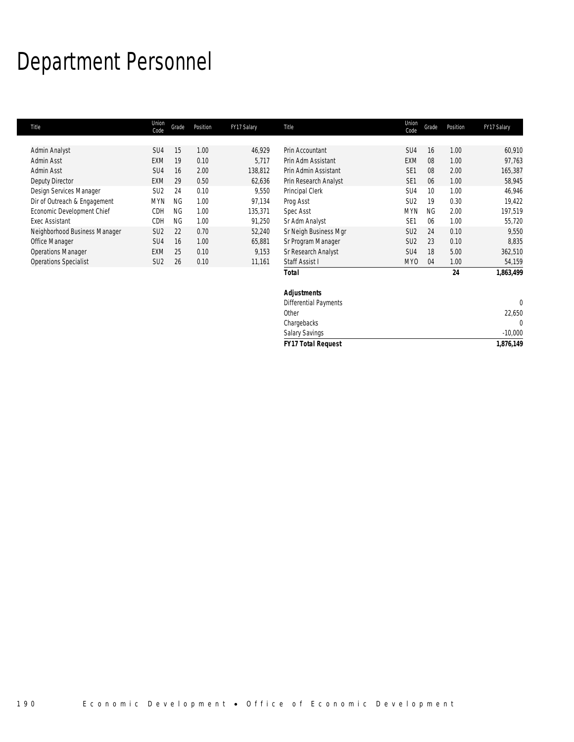## Department Personnel

п

| Title                         | Union<br>Code   | Grade     | Position | FY17 Salary | Title                 | Union<br>Code   | Grade | Position | FY17 Salary |
|-------------------------------|-----------------|-----------|----------|-------------|-----------------------|-----------------|-------|----------|-------------|
|                               |                 |           |          |             |                       |                 |       |          |             |
| Admin Analyst                 | SU <sub>4</sub> | 15        | 1.00     | 46,929      | Prin Accountant       | SU <sub>4</sub> | 16    | 1.00     | 60,910      |
| Admin Asst                    | <b>EXM</b>      | 19        | 0.10     | 5,717       | Prin Adm Assistant    | <b>EXM</b>      | 08    | 1.00     | 97,763      |
| Admin Asst                    | SU <sub>4</sub> | 16        | 2.00     | 138,812     | Prin Admin Assistant  | SE <sub>1</sub> | 08    | 2.00     | 165,387     |
| Deputy Director               | <b>EXM</b>      | 29        | 0.50     | 62,636      | Prin Research Analyst | SF <sub>1</sub> | 06    | 1.00     | 58.945      |
| Design Services Manager       | SU <sub>2</sub> | 24        | 0.10     | 9.550       | Principal Clerk       | SU <sub>4</sub> | 10    | 1.00     | 46,946      |
| Dir of Outreach & Engagement  | <b>MYN</b>      | <b>NG</b> | 1.00     | 97,134      | Prog Asst             | SU <sub>2</sub> | 19    | 0.30     | 19,422      |
| Economic Development Chief    | CDH             | <b>NG</b> | 1.00     | 135,371     | Spec Asst             | <b>MYN</b>      | NG    | 2.00     | 197,519     |
| <b>Exec Assistant</b>         | CDH             | <b>NG</b> | 1.00     | 91,250      | Sr Adm Analyst        | SF <sub>1</sub> | 06    | 1.00     | 55,720      |
| Neighborhood Business Manager | SU <sub>2</sub> | 22        | 0.70     | 52.240      | Sr Neigh Business Mgr | SU <sub>2</sub> | 24    | 0.10     | 9.550       |
| Office Manager                | SU <sub>4</sub> | 16        | 1.00     | 65,881      | Sr Program Manager    | SU <sub>2</sub> | 23    | 0.10     | 8,835       |
| <b>Operations Manager</b>     | EXM             | 25        | 0.10     | 9,153       | Sr Research Analyst   | SU4             | 18    | 5.00     | 362,510     |
| <b>Operations Specialist</b>  | SU <sub>2</sub> | 26        | 0.10     | 11,161      | Staff Assist I        | MY <sub>0</sub> | 04    | 1.00     | 54,159      |
|                               |                 |           |          |             | Total                 |                 |       | 24       | 1,863,499   |
|                               |                 |           |          |             |                       |                 |       |          |             |

| Adjustments                  |              |
|------------------------------|--------------|
| <b>Differential Payments</b> | 0            |
| Other                        | 22,650       |
| Chargebacks                  | $\mathbf{0}$ |
| <b>Salary Savings</b>        | $-10,000$    |
| <b>FY17 Total Request</b>    | 1,876,149    |
|                              |              |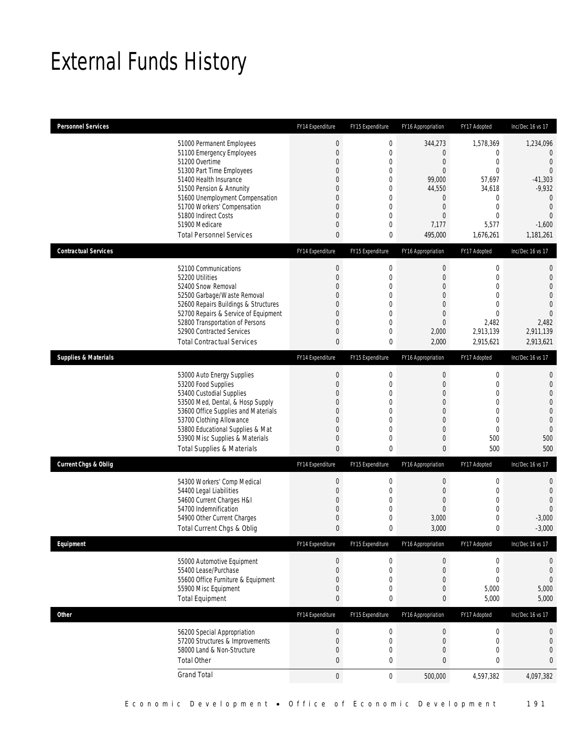## External Funds History

| <b>Personnel Services</b>       |                                                                                                                                                                                                                                                                                                            | FY14 Expenditure                                                                                      | FY15 Expenditure                                                                                                                | FY16 Appropriation                                                                                                                              | FY17 Adopted                                                                                                                  | Inc/Dec 16 vs 17                                                                                                                                            |
|---------------------------------|------------------------------------------------------------------------------------------------------------------------------------------------------------------------------------------------------------------------------------------------------------------------------------------------------------|-------------------------------------------------------------------------------------------------------|---------------------------------------------------------------------------------------------------------------------------------|-------------------------------------------------------------------------------------------------------------------------------------------------|-------------------------------------------------------------------------------------------------------------------------------|-------------------------------------------------------------------------------------------------------------------------------------------------------------|
|                                 | 51000 Permanent Employees<br>51100 Emergency Employees<br>51200 Overtime<br>51300 Part Time Employees<br>51400 Health Insurance<br>51500 Pension & Annunity<br>51600 Unemployment Compensation<br>51700 Workers' Compensation<br>51800 Indirect Costs<br>51900 Medicare<br><b>Total Personnel Services</b> | $\boldsymbol{0}$<br>$\overline{0}$<br>0<br>0<br>$\Omega$<br>0<br>0<br>0<br>0<br>$\boldsymbol{0}$<br>0 | $\mathbf 0$<br>$\overline{0}$<br>$\mathbf 0$<br>0<br>0<br>$\mathbf 0$<br>0<br>$\mathbf 0$<br>$\overline{0}$<br>$\mathbf 0$<br>0 | 344,273<br>$\overline{0}$<br>$\mathbf 0$<br>$\mathbf{0}$<br>99,000<br>44,550<br>$\mathbf 0$<br>$\mathbf 0$<br>$\mathbf{0}$<br>7,177<br>495,000  | 1,578,369<br>0<br>0<br>0<br>57,697<br>34,618<br>0<br>0<br>0<br>5,577<br>1,676,261                                             | 1,234,096<br>$\mathbf{0}$<br>$\mathbf{0}$<br>$\overline{0}$<br>$-41,303$<br>$-9,932$<br>$\theta$<br>$\mathbf{0}$<br>$\overline{0}$<br>$-1,600$<br>1,181,261 |
| <b>Contractual Services</b>     |                                                                                                                                                                                                                                                                                                            | FY14 Expenditure                                                                                      | FY15 Expenditure                                                                                                                | FY16 Appropriation                                                                                                                              | FY17 Adopted                                                                                                                  | Inc/Dec 16 vs 17                                                                                                                                            |
|                                 | 52100 Communications<br>52200 Utilities<br>52400 Snow Removal<br>52500 Garbage/Waste Removal<br>52600 Repairs Buildings & Structures<br>52700 Repairs & Service of Equipment<br>52800 Transportation of Persons<br>52900 Contracted Services<br><b>Total Contractual Services</b>                          | $\boldsymbol{0}$<br>$\mathbf 0$<br>$\Omega$<br>0<br>0<br>0<br>0<br>0<br>0                             | $\boldsymbol{0}$<br>$\mathbf 0$<br>0<br>$\overline{0}$<br>0<br>$\mathbf 0$<br>0<br>0<br>0                                       | $\boldsymbol{0}$<br>$\boldsymbol{0}$<br>$\theta$<br>$\theta$<br>$\theta$<br>$\mathbf 0$<br>$\mathbf 0$<br>2,000<br>2,000                        | $\boldsymbol{0}$<br>$\mathbf 0$<br>$\overline{0}$<br>$\overline{0}$<br>$\overline{0}$<br>0<br>2,482<br>2,913,139<br>2,915,621 | 0<br>$\mathbf 0$<br>$\overline{0}$<br>$\overline{0}$<br>$\mathbf 0$<br>$\overline{0}$<br>2,482<br>2,911,139<br>2,913,621                                    |
| <b>Supplies &amp; Materials</b> |                                                                                                                                                                                                                                                                                                            | FY14 Expenditure                                                                                      | FY15 Expenditure                                                                                                                | FY16 Appropriation                                                                                                                              | FY17 Adopted                                                                                                                  | Inc/Dec 16 vs 17                                                                                                                                            |
|                                 | 53000 Auto Energy Supplies<br>53200 Food Supplies<br>53400 Custodial Supplies<br>53500 Med, Dental, & Hosp Supply<br>53600 Office Supplies and Materials<br>53700 Clothing Allowance<br>53800 Educational Supplies & Mat<br>53900 Misc Supplies & Materials<br><b>Total Supplies &amp; Materials</b>       | 0<br>$\mathbf 0$<br>0<br>0<br>0<br>0<br>0<br>0<br>0                                                   | 0<br>$\mathbf 0$<br>0<br>$\mathbf 0$<br>0<br>$\overline{0}$<br>$\overline{0}$<br>0<br>0                                         | $\boldsymbol{0}$<br>$\boldsymbol{0}$<br>$\theta$<br>$\boldsymbol{0}$<br>$\theta$<br>$\boldsymbol{0}$<br>$\mathbf{0}$<br>$\mathbf 0$<br>$\bf{0}$ | 0<br>$\mathbf 0$<br>$\overline{0}$<br>$\mathbf 0$<br>$\overline{0}$<br>$\mathbf 0$<br>$\mathbf 0$<br>500<br>500               | 0<br>$\mathbf 0$<br>$\overline{0}$<br>$\mathbf{0}$<br>$\mathbf 0$<br>$\mathbf{0}$<br>$\mathbf{0}$<br>500<br>500                                             |
| <b>Current Chgs &amp; Oblig</b> |                                                                                                                                                                                                                                                                                                            | FY14 Expenditure                                                                                      | FY15 Expenditure                                                                                                                | FY16 Appropriation                                                                                                                              | FY17 Adopted                                                                                                                  | Inc/Dec 16 vs 17                                                                                                                                            |
|                                 | 54300 Workers' Comp Medical<br>54400 Legal Liabilities<br>54600 Current Charges H&I<br>54700 Indemnification<br>54900 Other Current Charges<br>Total Current Chgs & Oblig                                                                                                                                  | $\boldsymbol{0}$<br>$\mathbf 0$<br>0<br>0<br>0<br>0                                                   | $\boldsymbol{0}$<br>$\mathbf 0$<br>0<br>$\mathbf 0$<br>0<br>0                                                                   | $\boldsymbol{0}$<br>$\boldsymbol{0}$<br>$\theta$<br>$\boldsymbol{0}$<br>3,000<br>3,000                                                          | 0<br>$\mathbf 0$<br>$\overline{0}$<br>$\mathbf 0$<br>0<br>0                                                                   | 0<br>$\mathbf{0}$<br>$\overline{0}$<br>$\overline{0}$<br>$-3,000$<br>$-3,000$                                                                               |
| Equipment                       |                                                                                                                                                                                                                                                                                                            | FY14 Expenditure                                                                                      | FY15 Expenditure                                                                                                                | FY16 Appropriation                                                                                                                              | FY17 Adopted                                                                                                                  | Inc/Dec 16 vs 17                                                                                                                                            |
|                                 | 55000 Automotive Equipment<br>55400 Lease/Purchase<br>55600 Office Furniture & Equipment<br>55900 Misc Equipment<br><b>Total Equipment</b>                                                                                                                                                                 | 0<br>$\mathbf 0$<br>0<br>0<br>0                                                                       | 0<br>$\mathbf 0$<br>0<br>0<br>0                                                                                                 | $\boldsymbol{0}$<br>$\boldsymbol{0}$<br>$\theta$<br>$\boldsymbol{0}$<br>0                                                                       | $\boldsymbol{0}$<br>0<br>0<br>5,000<br>5,000                                                                                  | 0<br>$\mathbf{0}$<br>$\mathbf 0$<br>5,000<br>5,000                                                                                                          |
| <b>Other</b>                    |                                                                                                                                                                                                                                                                                                            | FY14 Expenditure                                                                                      | FY15 Expenditure                                                                                                                | FY16 Appropriation                                                                                                                              | FY17 Adopted                                                                                                                  | Inc/Dec 16 vs 17                                                                                                                                            |
|                                 | 56200 Special Appropriation<br>57200 Structures & Improvements<br>58000 Land & Non-Structure<br><b>Total Other</b>                                                                                                                                                                                         | $\boldsymbol{0}$<br>$\mathbf 0$<br>0<br>0                                                             | $\boldsymbol{0}$<br>$\mathbf 0$<br>0<br>0                                                                                       | $\boldsymbol{0}$<br>$\boldsymbol{0}$<br>$\mathbf 0$<br>$\pmb{0}$                                                                                | $\boldsymbol{0}$<br>$\mathbf 0$<br>0<br>0                                                                                     | 0<br>0<br>$\mathbf 0$<br>$\bf{0}$                                                                                                                           |
|                                 | <b>Grand Total</b>                                                                                                                                                                                                                                                                                         | $\boldsymbol{0}$                                                                                      | 0                                                                                                                               | 500,000                                                                                                                                         | 4,597,382                                                                                                                     | 4,097,382                                                                                                                                                   |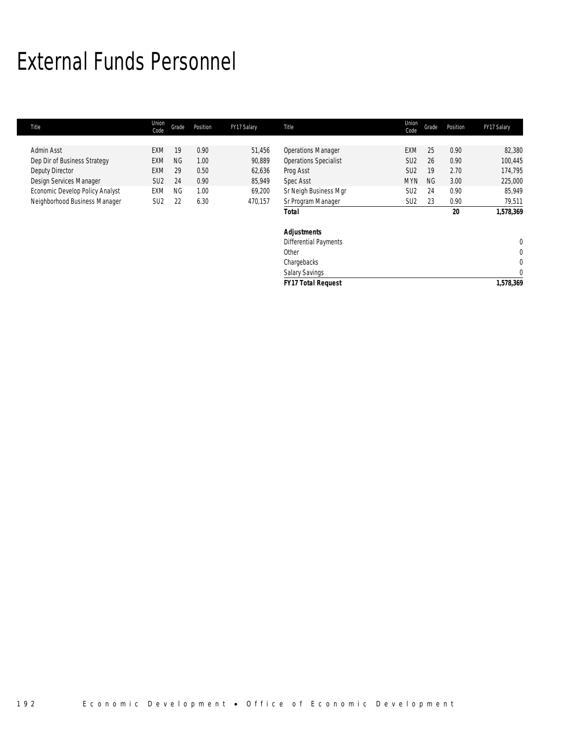## External Funds Personnel

| Title                           | Union<br>Code   | Grade     | Position | FY17 Salary | Title                        | Union<br>Code   | Grade     | Position | FY17 Salary |
|---------------------------------|-----------------|-----------|----------|-------------|------------------------------|-----------------|-----------|----------|-------------|
|                                 |                 |           |          |             |                              |                 |           |          |             |
| Admin Asst                      | <b>EXM</b>      | 19        | 0.90     | 51,456      | <b>Operations Manager</b>    | <b>EXM</b>      | 25        | 0.90     | 82,380      |
| Dep Dir of Business Strategy    | <b>EXM</b>      | <b>NG</b> | 1.00     | 90,889      | <b>Operations Specialist</b> | SU <sub>2</sub> | 26        | 0.90     | 100,445     |
| Deputy Director                 | EXM             | 29        | 0.50     | 62,636      | Prog Asst                    | SU <sub>2</sub> | 19        | 2.70     | 174,795     |
| Design Services Manager         | SU <sub>2</sub> | 24        | 0.90     | 85,949      | <b>Spec Asst</b>             | <b>MYN</b>      | <b>NG</b> | 3.00     | 225,000     |
| Economic Develop Policy Analyst | EXM             | <b>NG</b> | 1.00     | 69,200      | Sr Neigh Business Mgr        | SU <sub>2</sub> | 24        | 0.90     | 85,949      |
| Neighborhood Business Manager   | SU <sub>2</sub> | 22        | 6.30     | 470,157     | Sr Program Manager           | SU <sub>2</sub> | 23        | 0.90     | 79,511      |
|                                 |                 |           |          |             | <b>Total</b>                 |                 |           | 20       | 1,578,369   |
|                                 |                 |           |          |             | <b>Adjustments</b>           |                 |           |          |             |
|                                 |                 |           |          |             | Differential Payments        |                 |           |          | 0           |
|                                 |                 |           |          |             | Other                        |                 |           |          | 0           |
|                                 |                 |           |          |             | Chargebacks                  |                 |           |          | 0           |
|                                 |                 |           |          |             | Salary Savings               |                 |           |          | $\Omega$    |
|                                 |                 |           |          |             | <b>FY17 Total Request</b>    |                 |           |          | 1,578,369   |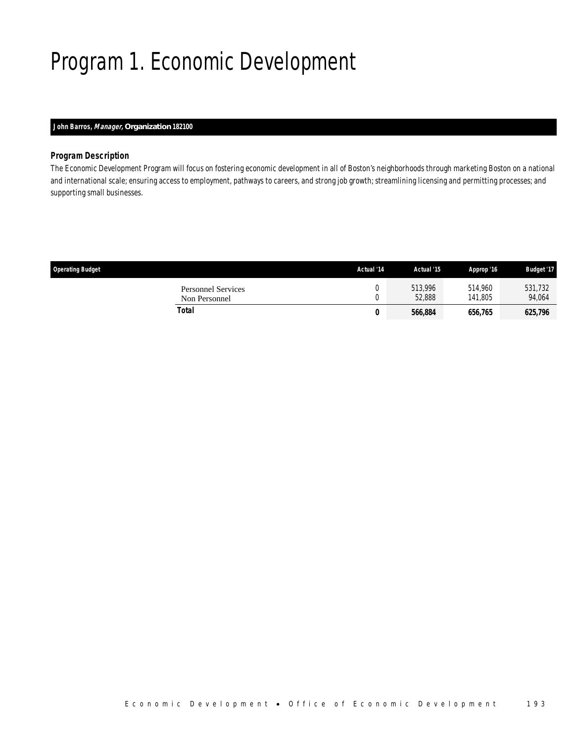# Program 1. Economic Development

#### *John Barros, Manager, Organization 182100*

#### *Program Description*

The Economic Development Program will focus on fostering economic development in all of Boston's neighborhoods through marketing Boston on a national and international scale; ensuring access to employment, pathways to careers, and strong job growth; streamlining licensing and permitting processes; and supporting small businesses.

| <b>Operating Budget</b>                    | Actual '14 | Actual '15        | Approp '16         | <b>Budget '17</b> |
|--------------------------------------------|------------|-------------------|--------------------|-------------------|
| <b>Personnel Services</b><br>Non Personnel |            | 513.996<br>52,888 | 514.960<br>141.805 | 531,732<br>94,064 |
| Total                                      | 0          | 566,884           | 656,765            | 625,796           |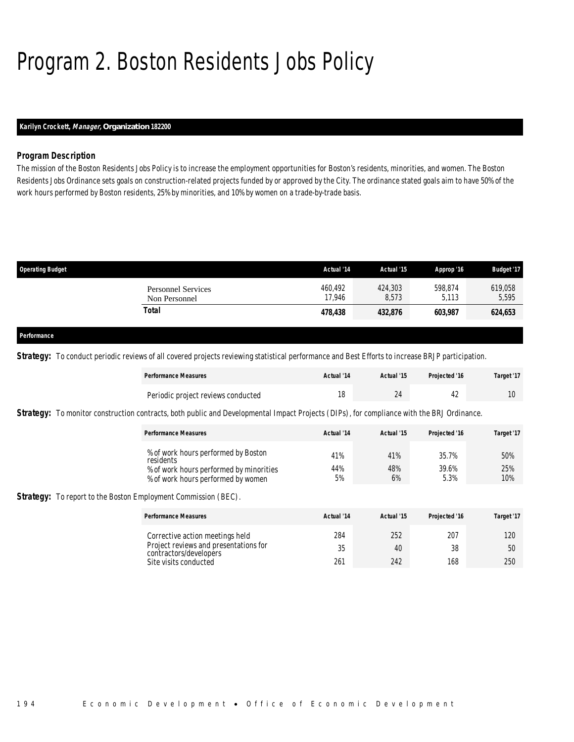# Program 2. Boston Residents Jobs Policy

### *Karilyn Crockett, Manager, Organization 182200*

#### *Program Description*

The mission of the Boston Residents Jobs Policy is to increase the employment opportunities for Boston's residents, minorities, and women. The Boston Residents Jobs Ordinance sets goals on construction-related projects funded by or approved by the City. The ordinance stated goals aim to have 50% of the work hours performed by Boston residents, 25% by minorities, and 10% by women on a trade-by-trade basis.

| <b>Operating Budget</b> |                                            | Actual '14        | Actual '15       | Approp '16       | <b>Budget '17</b> |
|-------------------------|--------------------------------------------|-------------------|------------------|------------------|-------------------|
|                         | <b>Personnel Services</b><br>Non Personnel | 460,492<br>17.946 | 424,303<br>8,573 | 598.874<br>5,113 | 619,058<br>5,595  |
|                         | <b>Total</b>                               | 478,438           | 432,876          | 603,987          | 624,653           |
|                         |                                            |                   |                  |                  |                   |
| Performance             |                                            |                   |                  |                  |                   |

**Strategy:** To conduct periodic reviews of all covered projects reviewing statistical performance and Best Efforts to increase BRJP participation.

| <b>Performance Measures</b>        | Actual '14 | Actual '15 | Projected '16 | Target '17 |
|------------------------------------|------------|------------|---------------|------------|
| Periodic project reviews conducted |            |            |               |            |

**Strategy:** To monitor construction contracts, both public and Developmental Impact Projects (DIPs), for compliance with the BRJ Ordinance.

| <b>Performance Measures</b>                                                                                                       | Actual '14       | Actual '15       | Projected '16          | Target '17        |
|-----------------------------------------------------------------------------------------------------------------------------------|------------------|------------------|------------------------|-------------------|
| % of work hours performed by Boston<br>residents<br>% of work hours performed by minorities<br>% of work hours performed by women | 41%<br>44%<br>5% | 41%<br>48%<br>6% | 35.7%<br>39.6%<br>5.3% | 50%<br>25%<br>10% |

**Strategy:** To report to the Boston Employment Commission (BEC).

| <b>Performance Measures</b>                                     | Actual '14 | Actual '15 | Projected '16 | Target '17 |
|-----------------------------------------------------------------|------------|------------|---------------|------------|
| Corrective action meetings held                                 | 284        | 252        | 207           | 120        |
| Project reviews and presentations for<br>contractors/developers | 25<br>JJ   | 40         | 28<br>JU      | 50         |
| Site visits conducted                                           | 261        | 242        | 168           | 250        |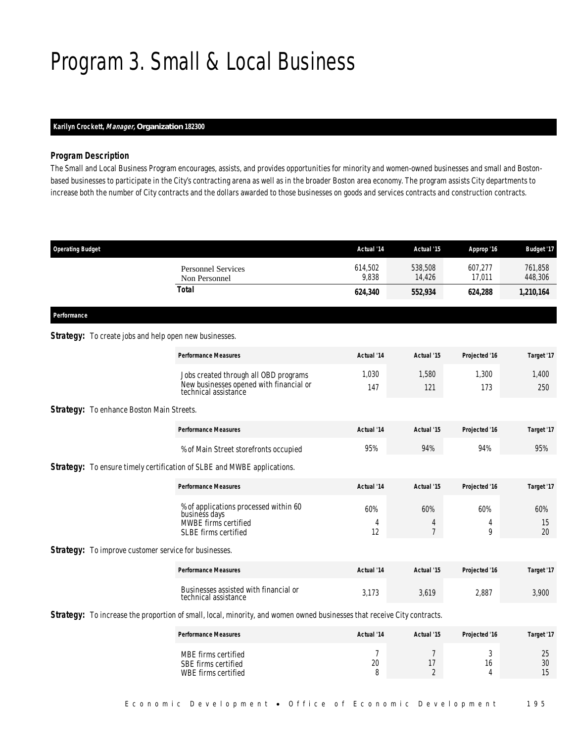# Program 3. Small & Local Business

#### *Karilyn Crockett, Manager, Organization 182300*

#### *Program Description*

The Small and Local Business Program encourages, assists, and provides opportunities for minority and women-owned businesses and small and Bostonbased businesses to participate in the City's contracting arena as well as in the broader Boston area economy. The program assists City departments to increase both the number of City contracts and the dollars awarded to those businesses on goods and services contracts and construction contracts.

| <b>Operating Budget</b> |                                                               |                                                                                                                                | Actual '14       | Actual '15                 | Approp '16        | Budget '17         |
|-------------------------|---------------------------------------------------------------|--------------------------------------------------------------------------------------------------------------------------------|------------------|----------------------------|-------------------|--------------------|
|                         |                                                               | <b>Personnel Services</b><br>Non Personnel                                                                                     | 614,502<br>9,838 | 538,508<br>14,426          | 607,277<br>17,011 | 761,858<br>448,306 |
|                         |                                                               | <b>Total</b>                                                                                                                   | 624,340          | 552,934                    | 624,288           | 1,210,164          |
| Performance             |                                                               |                                                                                                                                |                  |                            |                   |                    |
|                         | <b>Strategy:</b> To create jobs and help open new businesses. |                                                                                                                                |                  |                            |                   |                    |
|                         |                                                               | <b>Performance Measures</b>                                                                                                    | Actual '14       | Actual '15                 | Projected '16     | Target '17         |
|                         |                                                               | Jobs created through all OBD programs<br>New businesses opened with financial or<br>technical assistance                       | 1,030<br>147     | 1,580<br>121               | 1,300<br>173      | 1,400<br>250       |
|                         | <b>Strategy:</b> To enhance Boston Main Streets.              |                                                                                                                                |                  |                            |                   |                    |
|                         |                                                               | <b>Performance Measures</b>                                                                                                    | Actual '14       | Actual '15                 | Projected '16     | Target '17         |
|                         |                                                               | % of Main Street storefronts occupied                                                                                          | 95%              | 94%                        | 94%               | 95%                |
|                         |                                                               | <b>Strategy:</b> To ensure timely certification of SLBE and MWBE applications.                                                 |                  |                            |                   |                    |
|                         |                                                               | <b>Performance Measures</b>                                                                                                    | Actual '14       | Actual '15                 | Projected '16     | Target '17         |
|                         |                                                               | % of applications processed within 60<br>business days<br>MWBE firms certified<br>SLBE firms certified                         | 60%<br>4<br>12   | 60%<br>4<br>$\overline{7}$ | 60%<br>4<br>9     | 60%<br>15<br>20    |
|                         | <b>Strategy:</b> To improve customer service for businesses.  |                                                                                                                                |                  |                            |                   |                    |
|                         |                                                               | <b>Performance Measures</b>                                                                                                    | Actual '14       | Actual '15                 | Projected '16     | Target '17         |
|                         |                                                               | Businesses assisted with financial or<br>technical assistance                                                                  | 3,173            | 3,619                      | 2,887             | 3,900              |
|                         |                                                               | <b>Strategy:</b> To increase the proportion of small, local, minority, and women owned businesses that receive City contracts. |                  |                            |                   |                    |
|                         |                                                               | <b>Performance Measures</b>                                                                                                    | Actual '14       | Actual '15                 | Projected '16     | Target '17         |

| MBE firms certified<br>16<br>SBE firms certified | FUIDINAINE IVIUQUIUS | Aciual 14 | Aciual IJ | <i>FIUJCLICU IU</i> | <i>Larger II</i> |
|--------------------------------------------------|----------------------|-----------|-----------|---------------------|------------------|
| WBE firms certified                              |                      |           |           |                     | ZJ<br>30         |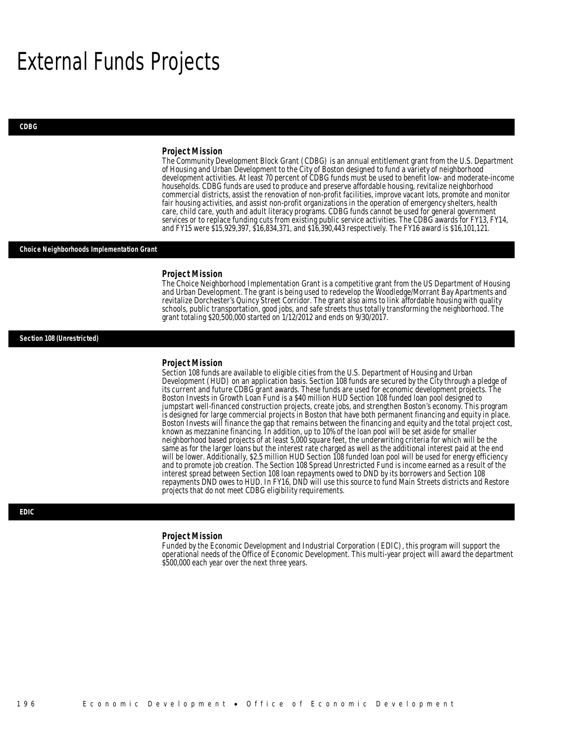### External Funds Projects

#### *Project Mission*

The Community Development Block Grant (CDBG) is an annual entitlement grant from the U.S. Department of Housing and Urban Development to the City of Boston designed to fund a variety of neighborhood development activities. At least 70 percent of CDBG funds must be used to benefit low- and moderate-income households. CDBG funds are used to produce and preserve affordable housing, revitalize neighborhood commercial districts, assist the renovation of non-profit facilities, improve vacant lots, promote and monitor fair housing activities, and assist non-profit organizations in the operation of emergency shelters, health care, child care, youth and adult literacy programs. CDBG funds cannot be used for general government services or to replace funding cuts from existing public service activities. The CDBG awards for FY13, FY14, and FY15 were \$15,929,397, \$16,834,371, and \$16,390,443 respectively. The FY16 award is \$16,101,121.

#### *Choice Neighborhoods Implementation Grant*

#### *Project Mission*

The Choice Neighborhood Implementation Grant is a competitive grant from the US Department of Housing and Urban Development. The grant is being used to redevelop the Woodledge/Morrant Bay Apartments and revitalize Dorchester's Quincy Street Corridor. The grant also aims to link affordable housing with quality schools, public transportation, good jobs, and safe streets thus totally transforming the neighborhood. The grant totaling \$20,500,000 started on 1/12/2012 and ends on 9/30/2017. Ì

#### *Section 108 (Unrestricted)*

#### *Project Mission*

Section 108 funds are available to eligible cities from the U.S. Department of Housing and Urban Development (HUD) on an application basis. Section 108 funds are secured by the City through a pledge of its current and future CDBG grant awards. These funds are used for economic development projects. The Boston Invests in Growth Loan Fund is a \$40 million HUD Section 108 funded loan pool designed to jumpstart well-financed construction projects, create jobs, and strengthen Boston's economy. This program is designed for large commercial projects in Boston that have both permanent financing and equity in place. Boston Invests will finance the gap that remains between the financing and equity and the total project cost, known as mezzanine financing. In addition, up to 10% of the loan pool will be set aside for smaller neighborhood based projects of at least 5,000 square feet, the underwriting criteria for which will be the same as for the larger loans but the interest rate charged as well as the additional interest paid at the end will be lower. Additionally, \$2.5 million HUD Section 108 funded loan pool will be used for energy efficiency and to promote job creation. The Section 108 Spread Unrestricted Fund is income earned as a result of the interest spread between Section 108 loan repayments owed to DND by its borrowers and Section 108 repayments DND owes to HUD. In FY16, DND will use this source to fund Main Streets districts and Restore projects that do not meet CDBG eligibility requirements.

#### *EDIC*

#### *Project Mission*

Funded by the Economic Development and Industrial Corporation (EDIC), this program will support the operational needs of the Office of Economic Development. This multi-year project will award the department \$500,000 each year over the next three years.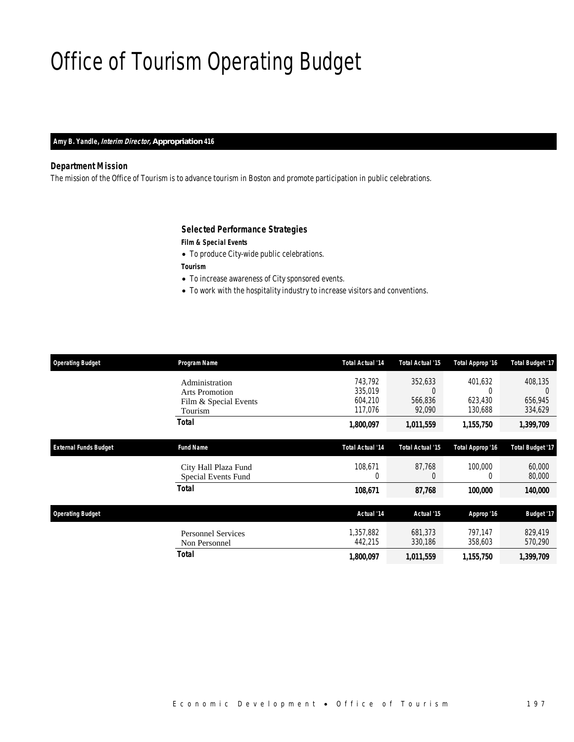# Office of Tourism Operating Budget

#### *Amy B. Yandle, Interim Director, Appropriation 416*

#### *Department Mission*

The mission of the Office of Tourism is to advance tourism in Boston and promote participation in public celebrations.

#### *Selected Performance Strategies*

*Film & Special Events* 

• To produce City-wide public celebrations.

*Tourism* 

- To increase awareness of City sponsored events.
- To work with the hospitality industry to increase visitors and conventions.

| <b>Operating Budget</b>      | Program Name                                                                | <b>Total Actual '14</b>                  | Total Actual '15                  | Total Approp '16              | <b>Total Budget '17</b>                         |
|------------------------------|-----------------------------------------------------------------------------|------------------------------------------|-----------------------------------|-------------------------------|-------------------------------------------------|
|                              | Administration<br><b>Arts Promotion</b><br>Film & Special Events<br>Tourism | 743,792<br>335,019<br>604,210<br>117,076 | 352,633<br>0<br>566,836<br>92,090 | 401,632<br>623,430<br>130,688 | 408,135<br>$\overline{0}$<br>656,945<br>334,629 |
|                              | Total                                                                       | 1,800,097                                | 1,011,559                         | 1,155,750                     | 1,399,709                                       |
| <b>External Funds Budget</b> | <b>Fund Name</b>                                                            | <b>Total Actual '14</b>                  | <b>Total Actual '15</b>           | Total Approp '16              | <b>Total Budget '17</b>                         |
|                              | City Hall Plaza Fund<br>Special Events Fund                                 | 108,671<br>0                             | 87,768<br>0                       | 100,000<br>0                  | 60,000<br>80,000                                |
|                              | Total                                                                       | 108,671                                  | 87,768                            | <i><b>100,000</b></i>         | 140,000                                         |
| <b>Operating Budget</b>      |                                                                             | Actual '14                               | Actual '15                        | Approp '16                    | <b>Budget '17</b>                               |
|                              | <b>Personnel Services</b><br>Non Personnel                                  | 1,357,882<br>442,215                     | 681,373<br>330,186                | 797,147<br>358,603            | 829,419<br>570,290                              |
|                              | <b>Total</b>                                                                | 1,800,097                                | 1,011,559                         | 1,155,750                     | 1,399,709                                       |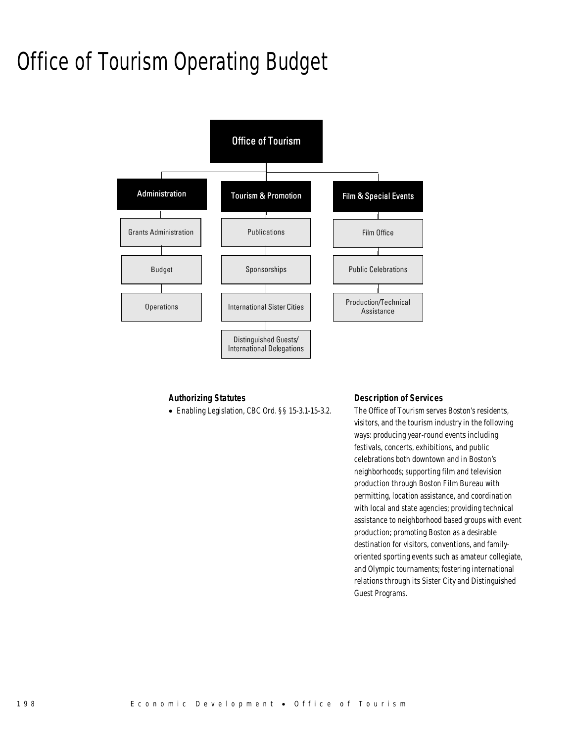# Office of Tourism Operating Budget



### *Authorizing Statutes*

• Enabling Legislation, CBC Ord. §§ 15-3.1-15-3.2.

### *Description of Services*

The Office of Tourism serves Boston's residents, visitors, and the tourism industry in the following ways: producing year-round events including festivals, concerts, exhibitions, and public celebrations both downtown and in Boston's neighborhoods; supporting film and television production through Boston Film Bureau with permitting, location assistance, and coordination with local and state agencies; providing technical assistance to neighborhood based groups with event production; promoting Boston as a desirable destination for visitors, conventions, and familyoriented sporting events such as amateur collegiate, and Olympic tournaments; fostering international relations through its Sister City and Distinguished Guest Programs.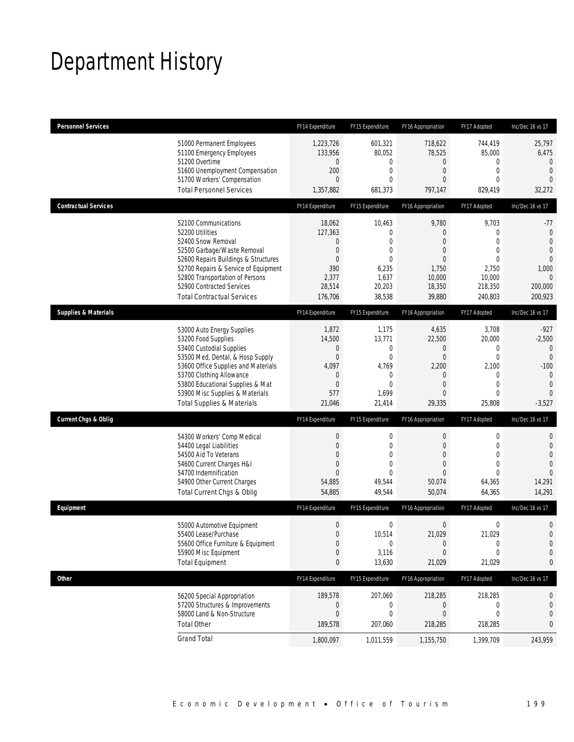## Department History

| <b>Personnel Services</b>       |                                                                                                                                                                                                                                                                                                      | FY14 Expenditure                                                                                            | FY15 Expenditure                                                                                          | FY16 Appropriation                                                                                 | FY17 Adopted                                                                                                  | Inc/Dec 16 vs 17                                                                                                       |
|---------------------------------|------------------------------------------------------------------------------------------------------------------------------------------------------------------------------------------------------------------------------------------------------------------------------------------------------|-------------------------------------------------------------------------------------------------------------|-----------------------------------------------------------------------------------------------------------|----------------------------------------------------------------------------------------------------|---------------------------------------------------------------------------------------------------------------|------------------------------------------------------------------------------------------------------------------------|
|                                 | 51000 Permanent Employees<br>51100 Emergency Employees<br>51200 Overtime<br>51600 Unemployment Compensation<br>51700 Workers' Compensation<br><b>Total Personnel Services</b>                                                                                                                        | 1,223,726<br>133.956<br>0<br>200<br>$\overline{0}$<br>1,357,882                                             | 601,321<br>80,052<br>0<br>0<br>$\mathbf 0$<br>681,373                                                     | 718,622<br>78,525<br>$\theta$<br>$\overline{0}$<br>$\theta$<br>797,147                             | 744,419<br>85,000<br>0<br>$\mathbf{0}$<br>$\mathbf 0$<br>829,419                                              | 25,797<br>6,475<br>$\theta$<br>$\mathbf{0}$<br>$\overline{0}$<br>32,272                                                |
| <b>Contractual Services</b>     |                                                                                                                                                                                                                                                                                                      | FY14 Expenditure                                                                                            | FY15 Expenditure                                                                                          | FY16 Appropriation                                                                                 | FY17 Adopted                                                                                                  | Inc/Dec 16 vs 17                                                                                                       |
|                                 | 52100 Communications<br>52200 Utilities<br>52400 Snow Removal<br>52500 Garbage/Waste Removal<br>52600 Repairs Buildings & Structures<br>52700 Repairs & Service of Equipment<br>52800 Transportation of Persons<br>52900 Contracted Services<br><b>Total Contractual Services</b>                    | 18,062<br>127,363<br>$\mathbf 0$<br>$\boldsymbol{0}$<br>$\overline{0}$<br>390<br>2,377<br>28,514<br>176,706 | 10,463<br>$\mathbf 0$<br>$\mathbf{0}$<br>$\mathbf 0$<br>$\mathbf 0$<br>6,235<br>1,637<br>20,203<br>38,538 | 9,780<br>$\theta$<br>$\theta$<br>$\overline{0}$<br>$\theta$<br>1,750<br>10,000<br>18,350<br>39,880 | 9,703<br>$\mathbf 0$<br>$\overline{0}$<br>$\overline{0}$<br>$\Omega$<br>2,750<br>10,000<br>218,350<br>240,803 | $-77$<br>$\theta$<br>$\overline{0}$<br>$\overline{0}$<br>$\overline{0}$<br>1,000<br>$\mathbf{0}$<br>200,000<br>200,923 |
| <b>Supplies &amp; Materials</b> |                                                                                                                                                                                                                                                                                                      | FY14 Expenditure                                                                                            | FY15 Expenditure                                                                                          | FY16 Appropriation                                                                                 | FY17 Adopted                                                                                                  | Inc/Dec 16 vs 17                                                                                                       |
|                                 | 53000 Auto Energy Supplies<br>53200 Food Supplies<br>53400 Custodial Supplies<br>53500 Med, Dental, & Hosp Supply<br>53600 Office Supplies and Materials<br>53700 Clothing Allowance<br>53800 Educational Supplies & Mat<br>53900 Misc Supplies & Materials<br><b>Total Supplies &amp; Materials</b> | 1,872<br>14,500<br>0<br>$\boldsymbol{0}$<br>4,097<br>0<br>$\mathbf 0$<br>577<br>21,046                      | 1,175<br>13,771<br>0<br>$\mathbf 0$<br>4,769<br>$\mathbf 0$<br>$\mathbf{0}$<br>1,699<br>21,414            | 4,635<br>22,500<br>0<br>$\mathbf 0$<br>2,200<br>$\theta$<br>$\theta$<br>$\overline{0}$<br>29,335   | 3,708<br>20,000<br>0<br>$\mathbf 0$<br>2,100<br>0<br>$\mathbf{0}$<br>$\Omega$<br>25,808                       | $-927$<br>$-2,500$<br>$\mathbf{0}$<br>$\overline{0}$<br>$-100$<br>$\mathbf{0}$<br>$\mathbf{0}$<br>$\Omega$<br>$-3,527$ |
| <b>Current Chgs &amp; Oblig</b> |                                                                                                                                                                                                                                                                                                      | FY14 Expenditure                                                                                            | FY15 Expenditure                                                                                          | FY16 Appropriation                                                                                 | FY17 Adopted                                                                                                  | Inc/Dec 16 vs 17                                                                                                       |
|                                 | 54300 Workers' Comp Medical<br>54400 Legal Liabilities<br>54500 Aid To Veterans<br>54600 Current Charges H&I<br>54700 Indemnification<br>54900 Other Current Charges<br>Total Current Chgs & Oblig                                                                                                   | $\boldsymbol{0}$<br>$\boldsymbol{0}$<br>0<br>0<br>$\Omega$<br>54,885<br>54,885                              | 0<br>$\mathbf 0$<br>$\mathbf{0}$<br>$\mathbf{0}$<br>$\Omega$<br>49,544<br>49,544                          | $\mathbf 0$<br>$\overline{0}$<br>$\theta$<br>$\overline{0}$<br>$\overline{0}$<br>50,074<br>50,074  | 0<br>$\mathbf 0$<br>$\mathbf{0}$<br>$\mathbf{0}$<br>$\Omega$<br>64,365<br>64,365                              | 0<br>$\mathbf{0}$<br>$\overline{0}$<br>$\overline{0}$<br>$\Omega$<br>14,291<br>14,291                                  |
| Equipment                       |                                                                                                                                                                                                                                                                                                      | FY14 Expenditure                                                                                            | FY15 Expenditure                                                                                          | FY16 Appropriation                                                                                 | FY17 Adopted                                                                                                  | Inc/Dec 16 vs 17                                                                                                       |
|                                 | 55000 Automotive Equipment<br>55400 Lease/Purchase<br>55600 Office Furniture & Equipment<br>55900 Misc Equipment<br><b>Total Equipment</b>                                                                                                                                                           | $\boldsymbol{0}$<br>$\Omega$<br>0<br>0<br>0                                                                 | 0<br>10,514<br>$\boldsymbol{0}$<br>3,116<br>13,630                                                        | $\boldsymbol{0}$<br>21,029<br>$\theta$<br>$\theta$<br>21,029                                       | 0<br>21,029<br>$\boldsymbol{0}$<br>$\theta$<br>21,029                                                         | $\mathbf 0$<br>$\overline{0}$<br>$\mathbf 0$<br>$\mathbf 0$<br>0                                                       |
| <b>Other</b>                    |                                                                                                                                                                                                                                                                                                      | FY14 Expenditure                                                                                            | FY15 Expenditure                                                                                          | FY16 Appropriation                                                                                 | FY17 Adopted                                                                                                  | Inc/Dec 16 vs 17                                                                                                       |
|                                 | 56200 Special Appropriation<br>57200 Structures & Improvements<br>58000 Land & Non-Structure<br><b>Total Other</b>                                                                                                                                                                                   | 189,578<br>0<br>$\boldsymbol{0}$<br>189,578                                                                 | 207,060<br>0<br>$\overline{0}$<br>207,060                                                                 | 218,285<br>$\mathbf 0$<br>$\mathbf 0$<br>218,285                                                   | 218,285<br>0<br>$\overline{0}$<br>218,285                                                                     | 0<br>0<br>0<br>0                                                                                                       |
|                                 | <b>Grand Total</b>                                                                                                                                                                                                                                                                                   | 1,800,097                                                                                                   | 1,011,559                                                                                                 | 1,155,750                                                                                          | 1,399,709                                                                                                     | 243,959                                                                                                                |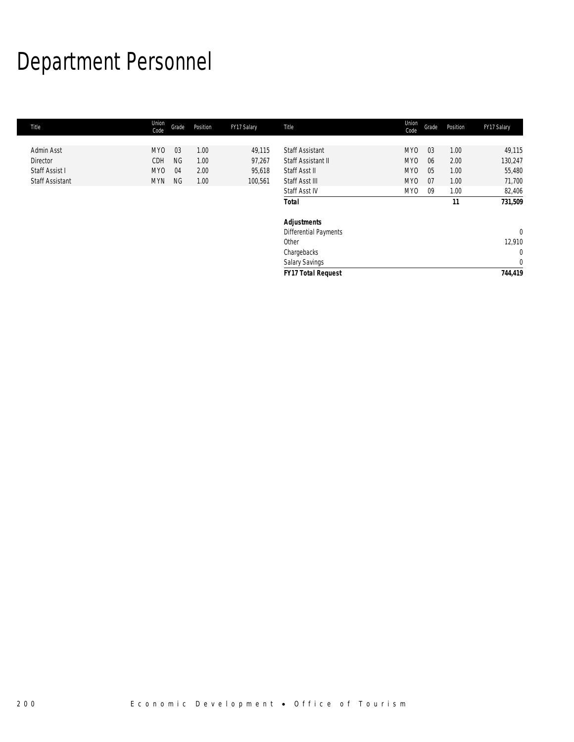# Department Personnel

| Title                  | Union<br>Code   | Grade     | Position | FY17 Salary | Title                     | Union<br>Code   | Grade | Position | FY17 Salary    |
|------------------------|-----------------|-----------|----------|-------------|---------------------------|-----------------|-------|----------|----------------|
|                        |                 |           |          |             |                           |                 |       |          |                |
| Admin Asst             | MY0             | 03        | 1.00     | 49,115      | <b>Staff Assistant</b>    | <b>MYO</b>      | 03    | 1.00     | 49,115         |
| <b>Director</b>        | CDH             | <b>NG</b> | 1.00     | 97,267      | Staff Assistant II        | MYO             | 06    | 2.00     | 130,247        |
| Staff Assist I         | MY <sub>0</sub> | 04        | 2.00     | 95,618      | Staff Asst II             | MY <sub>0</sub> | 05    | 1.00     | 55,480         |
| <b>Staff Assistant</b> | <b>MYN</b>      | ΝG        | 1.00     | 100,561     | Staff Asst III            | <b>MYO</b>      | 07    | 1.00     | 71,700         |
|                        |                 |           |          |             | Staff Asst IV             | MY <sub>0</sub> | 09    | 1.00     | 82,406         |
|                        |                 |           |          |             | <b>Total</b>              |                 |       | 11       | 731,509        |
|                        |                 |           |          |             | <b>Adjustments</b>        |                 |       |          |                |
|                        |                 |           |          |             | Differential Payments     |                 |       |          | $\pmb{0}$      |
|                        |                 |           |          |             | Other                     |                 |       |          | 12,910         |
|                        |                 |           |          |             | Chargebacks               |                 |       |          | $\mathbf{0}$   |
|                        |                 |           |          |             | <b>Salary Savings</b>     |                 |       |          | $\overline{0}$ |
|                        |                 |           |          |             | <b>FY17 Total Request</b> |                 |       |          | 744,419        |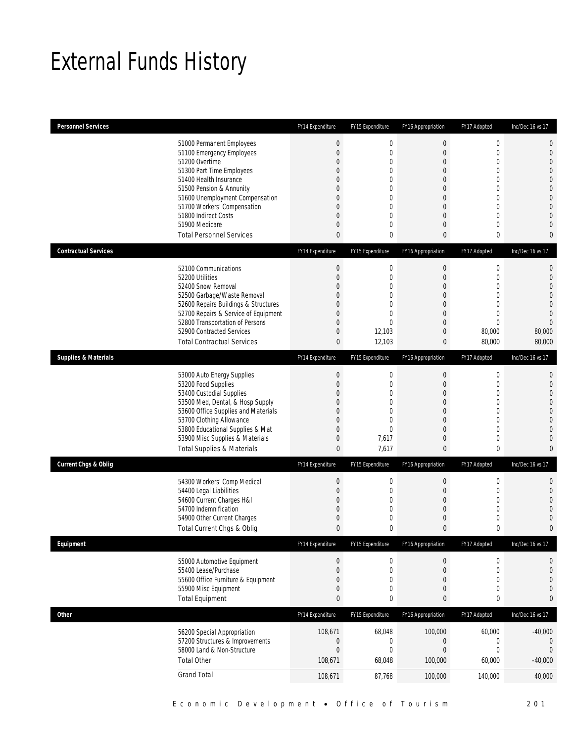## External Funds History

| <b>Personnel Services</b>       |                                                                                                                                                                                                                                                                                                            | FY14 Expenditure                                                                                | FY15 Expenditure                                                                               | FY16 Appropriation                                                                                                                                                      | FY17 Adopted                                                                                                                                                | Inc/Dec 16 vs 17                                                                                                                                                                               |
|---------------------------------|------------------------------------------------------------------------------------------------------------------------------------------------------------------------------------------------------------------------------------------------------------------------------------------------------------|-------------------------------------------------------------------------------------------------|------------------------------------------------------------------------------------------------|-------------------------------------------------------------------------------------------------------------------------------------------------------------------------|-------------------------------------------------------------------------------------------------------------------------------------------------------------|------------------------------------------------------------------------------------------------------------------------------------------------------------------------------------------------|
|                                 | 51000 Permanent Employees<br>51100 Emergency Employees<br>51200 Overtime<br>51300 Part Time Employees<br>51400 Health Insurance<br>51500 Pension & Annunity<br>51600 Unemployment Compensation<br>51700 Workers' Compensation<br>51800 Indirect Costs<br>51900 Medicare<br><b>Total Personnel Services</b> | $\mathbf 0$<br>$\overline{0}$<br>0<br>0<br>0<br>0<br>0<br>0<br>0<br>0<br>0                      | 0<br>0<br>0<br>0<br>0<br>0<br>$\Omega$<br>0<br>0<br>0<br>0                                     | $\mathbf 0$<br>$\mathbf 0$<br>$\mathbf 0$<br>$\overline{0}$<br>0<br>$\overline{0}$<br>$\overline{0}$<br>$\overline{0}$<br>$\overline{0}$<br>$\mathbf 0$<br>$\mathbf{0}$ | $\mathbf 0$<br>$\mathbf 0$<br>$\mathbf 0$<br>$\mathbf{0}$<br>$\mathbf{0}$<br>$\mathbf 0$<br>$\mathbf{0}$<br>$\mathbf 0$<br>$\mathbf 0$<br>$\mathbf{0}$<br>0 | $\mathbf{0}$<br>$\overline{0}$<br>$\overline{0}$<br>$\overline{0}$<br>$\overline{0}$<br>$\overline{0}$<br>$\overline{0}$<br>$\overline{0}$<br>$\overline{0}$<br>$\overline{0}$<br>$\mathbf{0}$ |
| <b>Contractual Services</b>     |                                                                                                                                                                                                                                                                                                            | FY14 Expenditure                                                                                | FY15 Expenditure                                                                               | FY16 Appropriation                                                                                                                                                      | FY17 Adopted                                                                                                                                                | Inc/Dec 16 vs 17                                                                                                                                                                               |
|                                 | 52100 Communications<br>52200 Utilities<br>52400 Snow Removal<br>52500 Garbage/Waste Removal<br>52600 Repairs Buildings & Structures<br>52700 Repairs & Service of Equipment<br>52800 Transportation of Persons<br>52900 Contracted Services<br><b>Total Contractual Services</b>                          | $\boldsymbol{0}$<br>$\mathbf{0}$<br>0<br>0<br>0<br>0<br>$\overline{0}$<br>$\boldsymbol{0}$<br>0 | $\boldsymbol{0}$<br>$\mathbf 0$<br>0<br>0<br>0<br>$\boldsymbol{0}$<br>0<br>12,103<br>12,103    | $\boldsymbol{0}$<br>0<br>$\mathbf 0$<br>$\mathbf{0}$<br>$\overline{0}$<br>$\mathbf 0$<br>$\overline{0}$<br>$\mathbf 0$<br>0                                             | $\mathbf 0$<br>$\mathbf 0$<br>$\mathbf{0}$<br>$\overline{0}$<br>$\mathbf{0}$<br>$\mathbf 0$<br>$\mathbf{0}$<br>80,000<br>80,000                             | $\mathbf{0}$<br>$\mathbf{0}$<br>$\overline{0}$<br>$\Omega$<br>$\overline{0}$<br>$\overline{0}$<br>$\overline{0}$<br>80,000<br>80,000                                                           |
| <b>Supplies &amp; Materials</b> |                                                                                                                                                                                                                                                                                                            | FY14 Expenditure                                                                                | FY15 Expenditure                                                                               | FY16 Appropriation                                                                                                                                                      | FY17 Adopted                                                                                                                                                | Inc/Dec 16 vs 17                                                                                                                                                                               |
|                                 | 53000 Auto Energy Supplies<br>53200 Food Supplies<br>53400 Custodial Supplies<br>53500 Med, Dental, & Hosp Supply<br>53600 Office Supplies and Materials<br>53700 Clothing Allowance<br>53800 Educational Supplies & Mat<br>53900 Misc Supplies & Materials<br><b>Total Supplies &amp; Materials</b>       | $\boldsymbol{0}$<br>$\overline{0}$<br>0<br>0<br>0<br>0<br>0<br>$\boldsymbol{0}$<br>0            | $\boldsymbol{0}$<br>$\mathbf 0$<br>0<br>0<br>0<br>$\mathbf 0$<br>$\mathbf 0$<br>7,617<br>7,617 | $\boldsymbol{0}$<br>$\overline{0}$<br>0<br>$\overline{0}$<br>$\overline{0}$<br>$\overline{0}$<br>$\overline{0}$<br>$\mathbf 0$<br>$\mathbf{0}$                          | $\boldsymbol{0}$<br>$\mathbf{0}$<br>$\mathbf 0$<br>$\overline{0}$<br>$\mathbf 0$<br>$\mathbf 0$<br>$\mathbf{0}$<br>$\mathbf 0$<br>0                         | $\mathbf{0}$<br>$\mathbf{0}$<br>$\overline{0}$<br>$\overline{0}$<br>$\overline{0}$<br>$\overline{0}$<br>$\mathbf{0}$<br>$\Omega$<br>$\mathbf{0}$                                               |
| <b>Current Chgs &amp; Oblig</b> |                                                                                                                                                                                                                                                                                                            | FY14 Expenditure                                                                                | FY15 Expenditure                                                                               | FY16 Appropriation                                                                                                                                                      | FY17 Adopted                                                                                                                                                | Inc/Dec 16 vs 17                                                                                                                                                                               |
|                                 | 54300 Workers' Comp Medical<br>54400 Legal Liabilities<br>54600 Current Charges H&I<br>54700 Indemnification<br>54900 Other Current Charges<br>Total Current Chgs & Oblig                                                                                                                                  | $\boldsymbol{0}$<br>$\mathbf{0}$<br>0<br>0<br>$\mathbf 0$<br>$\mathbf{0}$                       | 0<br>$\mathbf 0$<br>0<br>0<br>0<br>0                                                           | $\boldsymbol{0}$<br>0<br>$\mathbf 0$<br>$\mathbf 0$<br>$\mathbf 0$<br>$\mathbf{0}$                                                                                      | $\boldsymbol{0}$<br>$\mathbf 0$<br>$\mathbf 0$<br>$\mathbf{0}$<br>$\mathbf 0$<br>0                                                                          | $\mathbf{0}$<br>$\mathbf{0}$<br>$\Omega$<br>$\overline{0}$<br>$\Omega$<br>$\mathbf{0}$                                                                                                         |
| Equipment                       |                                                                                                                                                                                                                                                                                                            | FY14 Expenditure                                                                                | FY15 Expenditure                                                                               | FY16 Appropriation                                                                                                                                                      | FY17 Adopted                                                                                                                                                | Inc/Dec 16 vs 17                                                                                                                                                                               |
|                                 | 55000 Automotive Equipment<br>55400 Lease/Purchase<br>55600 Office Furniture & Equipment<br>55900 Misc Equipment<br><b>Total Equipment</b>                                                                                                                                                                 | $\theta$<br>$\boldsymbol{0}$<br>0<br>0<br>0                                                     | $\boldsymbol{0}$<br>$\boldsymbol{0}$<br>0<br>$\boldsymbol{0}$<br>0                             | $\boldsymbol{0}$<br>$\mathbf 0$<br>$\mathbf 0$<br>$\boldsymbol{0}$<br>0                                                                                                 | $\boldsymbol{0}$<br>$\mathbf 0$<br>$\mathbf 0$<br>$\mathbf 0$<br>0                                                                                          | 0<br>$\mathbf{0}$<br>$\mathbf{0}$<br>$\mathbf{0}$<br>$\bf{0}$                                                                                                                                  |
| <b>Other</b>                    |                                                                                                                                                                                                                                                                                                            | FY14 Expenditure                                                                                | FY15 Expenditure                                                                               | FY16 Appropriation                                                                                                                                                      | FY17 Adopted                                                                                                                                                | Inc/Dec 16 vs 17                                                                                                                                                                               |
|                                 | 56200 Special Appropriation<br>57200 Structures & Improvements<br>58000 Land & Non-Structure<br><b>Total Other</b>                                                                                                                                                                                         | 108,671<br>$\boldsymbol{0}$<br>$\boldsymbol{0}$<br>108,671                                      | 68,048<br>0<br>$\boldsymbol{0}$<br>68,048                                                      | 100,000<br>0<br>$\mathbf 0$<br>100,000                                                                                                                                  | 60,000<br>$\boldsymbol{0}$<br>$\mathbf 0$<br>60,000                                                                                                         | $-40,000$<br>0<br>$\mathbf{0}$<br>$-40,000$                                                                                                                                                    |
|                                 | <b>Grand Total</b>                                                                                                                                                                                                                                                                                         | 108,671                                                                                         | 87,768                                                                                         | 100,000                                                                                                                                                                 | 140,000                                                                                                                                                     | 40,000                                                                                                                                                                                         |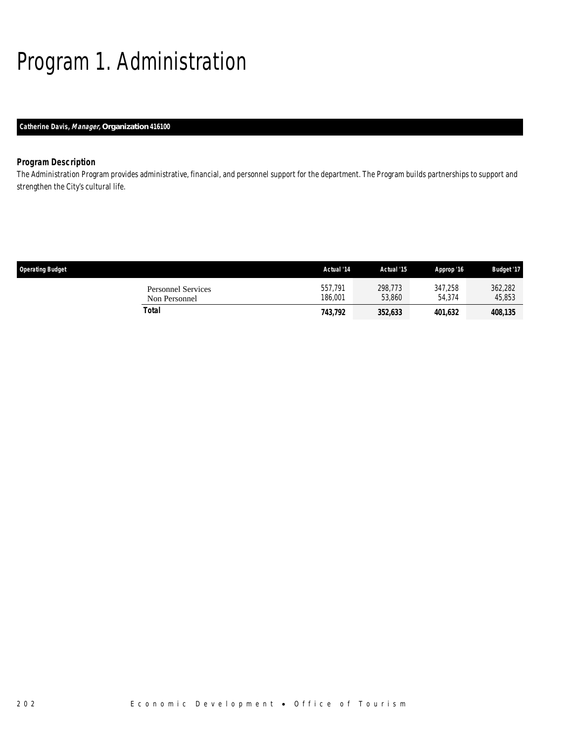# Program 1. Administration

### *Catherine Davis, Manager, Organization 416100*

### *Program Description*

The Administration Program provides administrative, financial, and personnel support for the department. The Program builds partnerships to support and strengthen the City's cultural life.

| <b>Operating Budget</b> |                                            | Actual '14         | Actual '15        | Approp '16        | <b>Budget '17</b> |
|-------------------------|--------------------------------------------|--------------------|-------------------|-------------------|-------------------|
|                         | <b>Personnel Services</b><br>Non Personnel | 557,791<br>186.001 | 298.773<br>53.860 | 347,258<br>54.374 | 362,282<br>45,853 |
|                         | Total                                      | 743,792            | 352,633           | 401,632           | 408,135           |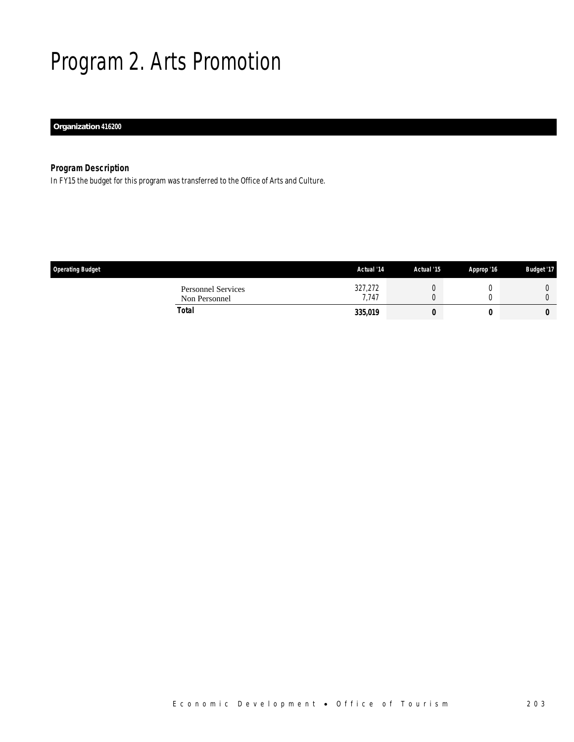# Program 2. Arts Promotion

### *Organization 416200*

### *Program Description*

In FY15 the budget for this program was transferred to the Office of Arts and Culture.

| <b>Operating Budget</b>                    | Actual '14      | Actual '15 | Approp '16 | <b>Budget '17</b> |
|--------------------------------------------|-----------------|------------|------------|-------------------|
| <b>Personnel Services</b><br>Non Personnel | 327,272<br>.747 |            |            |                   |
| <b>Total</b>                               | 335,019         |            |            | 0                 |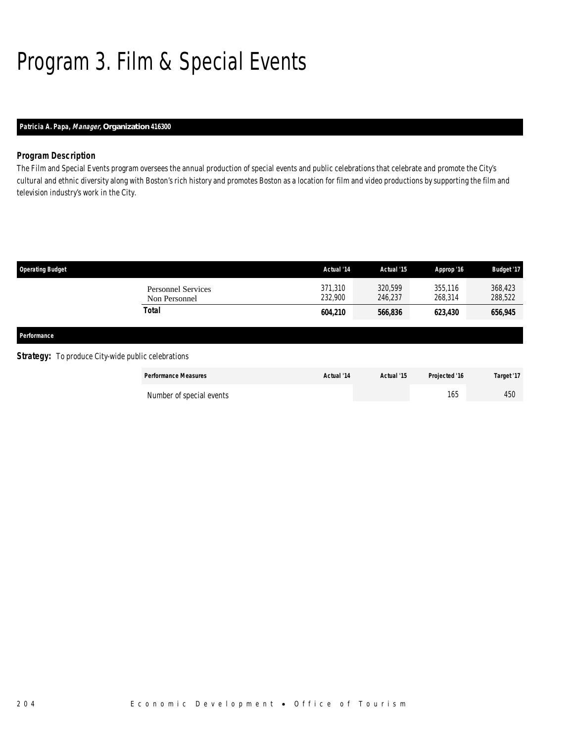# Program 3. Film & Special Events

### *Patricia A. Papa, Manager, Organization 416300*

### *Program Description*

The Film and Special Events program oversees the annual production of special events and public celebrations that celebrate and promote the City's cultural and ethnic diversity along with Boston's rich history and promotes Boston as a location for film and video productions by supporting the film and television industry's work in the City.

| <b>Operating Budget</b> |                                                           | Actual '14         | Actual '15         | Approp '16         | <b>Budget '17</b>  |
|-------------------------|-----------------------------------------------------------|--------------------|--------------------|--------------------|--------------------|
|                         | <b>Personnel Services</b><br>Non Personnel                | 371,310<br>232,900 | 320.599<br>246,237 | 355.116<br>268,314 | 368,423<br>288,522 |
|                         | Total                                                     | 604,210            | 566,836            | 623,430            | 656,945            |
| Performance             |                                                           |                    |                    |                    |                    |
|                         | <b>Strategy:</b> To produce City-wide public celebrations |                    |                    |                    |                    |
|                         | <b>Performance Measures</b>                               | Actual '14         | Actual '15         | Projected '16      | Target '17         |
|                         | Number of special events                                  |                    |                    | 165                | 450                |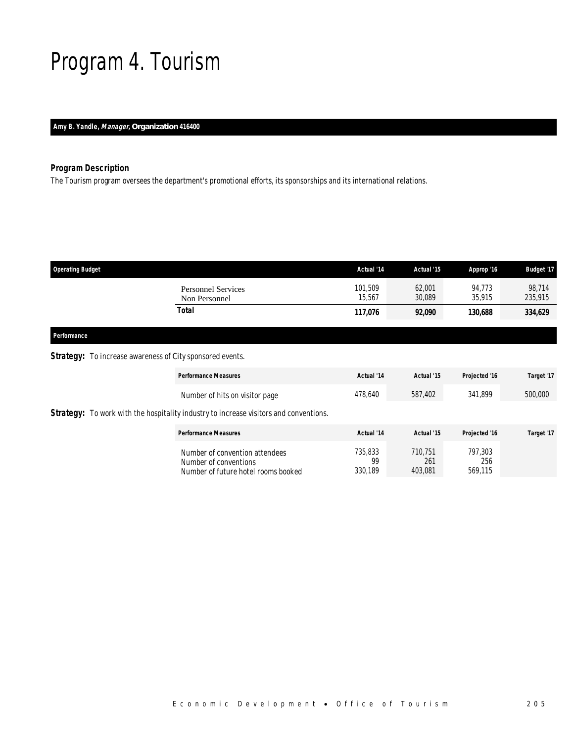## Program 4. Tourism

### *Amy B. Yandle, Manager, Organization 416400*

### *Program Description*

The Tourism program oversees the department's promotional efforts, its sponsorships and its international relations.

| <b>Operating Budget</b>             | Actual '14        | Actual '15       | Approp '16       | <b>Budget '17</b> |
|-------------------------------------|-------------------|------------------|------------------|-------------------|
| Personnel Services<br>Non Personnel | 101,509<br>15.567 | 62,001<br>30.089 | 94.773<br>35.915 | 98,714<br>235,915 |
| Total                               | 117,076           | 92,090           | 130,688          | 334,629           |
|                                     |                   |                  |                  |                   |

### *Performance*

### **Strategy:** To increase awareness of City sponsored events.

| <b>Performance Measures</b>                                                                    | Actual '14               | Actual '15                | Projected '16             | Target '17 |
|------------------------------------------------------------------------------------------------|--------------------------|---------------------------|---------------------------|------------|
| Number of hits on visitor page                                                                 | 478.640                  | 587.402                   | 341.899                   | 500,000    |
| <b>Strategy:</b> To work with the hospitality industry to increase visitors and conventions.   |                          |                           |                           |            |
| <b>Performance Measures</b>                                                                    | Actual '14               | Actual '15                | Projected '16             | Target '17 |
| Number of convention attendees<br>Number of conventions<br>Number of future hotel rooms booked | 735,833<br>99<br>330,189 | 710.751<br>261<br>403,081 | 797.303<br>256<br>569,115 |            |